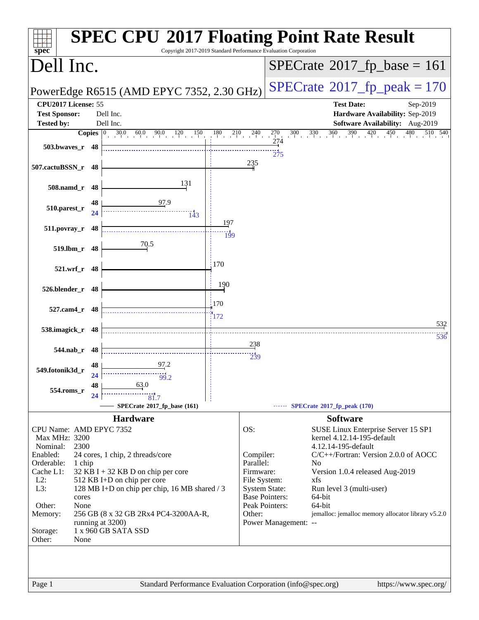| <b>SPEC CPU®2017 Floating Point Rate Result</b><br>Copyright 2017-2019 Standard Performance Evaluation Corporation<br>$spec^*$ |                                                                                           |  |
|--------------------------------------------------------------------------------------------------------------------------------|-------------------------------------------------------------------------------------------|--|
| Dell Inc.                                                                                                                      | $SPECrate^{\circ}2017$ fp base = 161                                                      |  |
| PowerEdge R6515 (AMD EPYC 7352, 2.30 GHz)                                                                                      | $SPECTate@2017_fp\_peak = 170$                                                            |  |
| CPU2017 License: 55                                                                                                            | <b>Test Date:</b><br>Sep-2019                                                             |  |
| <b>Test Sponsor:</b><br>Dell Inc.                                                                                              | Hardware Availability: Sep-2019                                                           |  |
| <b>Tested by:</b><br>Dell Inc.                                                                                                 | Software Availability: Aug-2019                                                           |  |
| Copies $ 0\rangle$<br>$30.0$ 60.0 90.0<br>120<br>150<br>180                                                                    | 360<br>390<br>210<br>$^{240}$<br>$^{270}$<br>$300 \t 330$<br>420<br>450<br>510 540<br>274 |  |
| 503.bwaves_r 48                                                                                                                |                                                                                           |  |
|                                                                                                                                | 275<br>235                                                                                |  |
| 507.cactuBSSN_r<br>48                                                                                                          |                                                                                           |  |
| 131                                                                                                                            |                                                                                           |  |
| $508$ .namd_r<br>48                                                                                                            |                                                                                           |  |
| 97.9<br>48<br>510.parest_r                                                                                                     |                                                                                           |  |
| 24<br>143                                                                                                                      |                                                                                           |  |
| 197<br>511.povray_r<br>48                                                                                                      |                                                                                           |  |
| 199                                                                                                                            |                                                                                           |  |
| 70.5<br>519.lbm_r<br>48                                                                                                        |                                                                                           |  |
| 170                                                                                                                            |                                                                                           |  |
| $521.wrf_r$<br>48                                                                                                              |                                                                                           |  |
| 190                                                                                                                            |                                                                                           |  |
| 526.blender_r<br>48                                                                                                            |                                                                                           |  |
| 170<br>527.cam4_r<br>48                                                                                                        |                                                                                           |  |
| 172                                                                                                                            |                                                                                           |  |
| 538.imagick_r<br>48                                                                                                            | 532                                                                                       |  |
|                                                                                                                                | 536                                                                                       |  |
| 544.nab r<br>48                                                                                                                | 238                                                                                       |  |
| 97.2<br>48                                                                                                                     | 239                                                                                       |  |
| 549.fotonik3d_r<br>24<br>$\overline{99}$ 2                                                                                     |                                                                                           |  |
| 63.0<br>48                                                                                                                     |                                                                                           |  |
| 554.roms_r<br>24<br>81.7                                                                                                       |                                                                                           |  |
| SPECrate*2017_fp_base (161)                                                                                                    | SPECrate®2017_fp_peak (170)                                                               |  |
| <b>Hardware</b>                                                                                                                | <b>Software</b>                                                                           |  |
| CPU Name: AMD EPYC 7352                                                                                                        | OS:<br>SUSE Linux Enterprise Server 15 SP1                                                |  |
| Max MHz: 3200<br>Nominal:<br>2300                                                                                              | kernel 4.12.14-195-default<br>4.12.14-195-default                                         |  |
| Enabled:<br>24 cores, 1 chip, 2 threads/core                                                                                   | C/C++/Fortran: Version 2.0.0 of AOCC<br>Compiler:                                         |  |
| Orderable:<br>1 chip                                                                                                           | Parallel:<br>N <sub>0</sub>                                                               |  |
| Cache L1:<br>$32$ KB I + 32 KB D on chip per core<br>$L2$ :                                                                    | Firmware:<br>Version 1.0.4 released Aug-2019                                              |  |
| 512 KB I+D on chip per core<br>L3:<br>128 MB I+D on chip per chip, 16 MB shared / 3                                            | File System:<br>xfs<br><b>System State:</b><br>Run level 3 (multi-user)                   |  |
| cores                                                                                                                          | <b>Base Pointers:</b><br>64-bit                                                           |  |
| Other:<br>None                                                                                                                 | Peak Pointers:<br>64-bit                                                                  |  |
| 256 GB (8 x 32 GB 2Rx4 PC4-3200AA-R,<br>Memory:<br>running at 3200)                                                            | Other:<br>jemalloc: jemalloc memory allocator library v5.2.0<br>Power Management: --      |  |
| 1 x 960 GB SATA SSD<br>Storage:                                                                                                |                                                                                           |  |
| Other:<br>None                                                                                                                 |                                                                                           |  |
|                                                                                                                                |                                                                                           |  |
|                                                                                                                                |                                                                                           |  |
|                                                                                                                                |                                                                                           |  |
| Page 1                                                                                                                         | Standard Performance Evaluation Corporation (info@spec.org)<br>https://www.spec.org/      |  |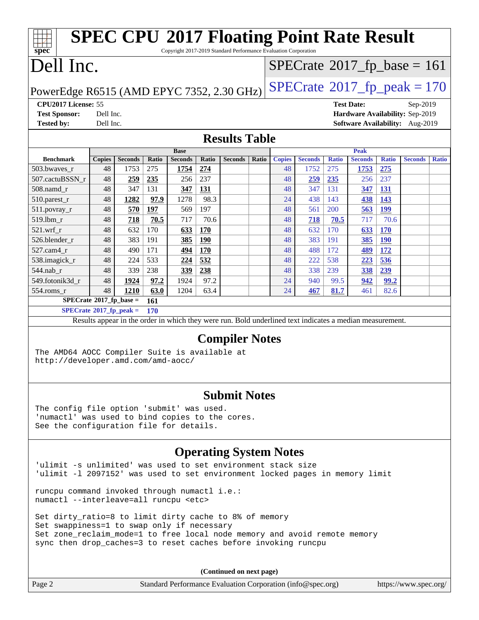#### **[spec](http://www.spec.org/) [SPEC CPU](http://www.spec.org/auto/cpu2017/Docs/result-fields.html#SPECCPU2017FloatingPointRateResult)[2017 Floating Point Rate Result](http://www.spec.org/auto/cpu2017/Docs/result-fields.html#SPECCPU2017FloatingPointRateResult)** Copyright 2017-2019 Standard Performance Evaluation Corporation Dell Inc. PowerEdge R6515 (AMD EPYC 7352, 2.30 GHz)  $\text{SPECrate}^{\circ}2017\_fp\_peak = 170$  $\text{SPECrate}^{\circ}2017\_fp\_peak = 170$  $\text{SPECrate}^{\circ}2017\_fp\_peak = 170$  $SPECTate@2017_fp\_base = 161$ **[CPU2017 License:](http://www.spec.org/auto/cpu2017/Docs/result-fields.html#CPU2017License)** 55 **[Test Date:](http://www.spec.org/auto/cpu2017/Docs/result-fields.html#TestDate)** Sep-2019 **[Test Sponsor:](http://www.spec.org/auto/cpu2017/Docs/result-fields.html#TestSponsor)** Dell Inc. **[Hardware Availability:](http://www.spec.org/auto/cpu2017/Docs/result-fields.html#HardwareAvailability)** Sep-2019 **[Tested by:](http://www.spec.org/auto/cpu2017/Docs/result-fields.html#Testedby)** Dell Inc. **[Software Availability:](http://www.spec.org/auto/cpu2017/Docs/result-fields.html#SoftwareAvailability)** Aug-2019 **[Results Table](http://www.spec.org/auto/cpu2017/Docs/result-fields.html#ResultsTable) [Benchmark](http://www.spec.org/auto/cpu2017/Docs/result-fields.html#Benchmark) [Copies](http://www.spec.org/auto/cpu2017/Docs/result-fields.html#Copies) [Seconds](http://www.spec.org/auto/cpu2017/Docs/result-fields.html#Seconds) [Ratio](http://www.spec.org/auto/cpu2017/Docs/result-fields.html#Ratio) [Seconds](http://www.spec.org/auto/cpu2017/Docs/result-fields.html#Seconds) [Ratio](http://www.spec.org/auto/cpu2017/Docs/result-fields.html#Ratio) [Seconds](http://www.spec.org/auto/cpu2017/Docs/result-fields.html#Seconds) [Ratio](http://www.spec.org/auto/cpu2017/Docs/result-fields.html#Ratio) Base [Copies](http://www.spec.org/auto/cpu2017/Docs/result-fields.html#Copies) [Seconds](http://www.spec.org/auto/cpu2017/Docs/result-fields.html#Seconds) [Ratio](http://www.spec.org/auto/cpu2017/Docs/result-fields.html#Ratio) [Seconds](http://www.spec.org/auto/cpu2017/Docs/result-fields.html#Seconds) [Ratio](http://www.spec.org/auto/cpu2017/Docs/result-fields.html#Ratio) [Seconds](http://www.spec.org/auto/cpu2017/Docs/result-fields.html#Seconds) [Ratio](http://www.spec.org/auto/cpu2017/Docs/result-fields.html#Ratio) Peak** [503.bwaves\\_r](http://www.spec.org/auto/cpu2017/Docs/benchmarks/503.bwaves_r.html) 48 1753 275 **[1754](http://www.spec.org/auto/cpu2017/Docs/result-fields.html#Median) [274](http://www.spec.org/auto/cpu2017/Docs/result-fields.html#Median)** 48 1752 275 **[1753](http://www.spec.org/auto/cpu2017/Docs/result-fields.html#Median) [275](http://www.spec.org/auto/cpu2017/Docs/result-fields.html#Median)** [507.cactuBSSN\\_r](http://www.spec.org/auto/cpu2017/Docs/benchmarks/507.cactuBSSN_r.html) 48 **[259](http://www.spec.org/auto/cpu2017/Docs/result-fields.html#Median) [235](http://www.spec.org/auto/cpu2017/Docs/result-fields.html#Median)** 256 237 48 **[259](http://www.spec.org/auto/cpu2017/Docs/result-fields.html#Median) [235](http://www.spec.org/auto/cpu2017/Docs/result-fields.html#Median)** 256 237 [508.namd\\_r](http://www.spec.org/auto/cpu2017/Docs/benchmarks/508.namd_r.html) 48 347 131 **[347](http://www.spec.org/auto/cpu2017/Docs/result-fields.html#Median) [131](http://www.spec.org/auto/cpu2017/Docs/result-fields.html#Median)** 48 347 131 **[347](http://www.spec.org/auto/cpu2017/Docs/result-fields.html#Median) [131](http://www.spec.org/auto/cpu2017/Docs/result-fields.html#Median)** [510.parest\\_r](http://www.spec.org/auto/cpu2017/Docs/benchmarks/510.parest_r.html) 48 **[1282](http://www.spec.org/auto/cpu2017/Docs/result-fields.html#Median) [97.9](http://www.spec.org/auto/cpu2017/Docs/result-fields.html#Median)** 1278 98.3 24 438 143 **[438](http://www.spec.org/auto/cpu2017/Docs/result-fields.html#Median) [143](http://www.spec.org/auto/cpu2017/Docs/result-fields.html#Median)** [511.povray\\_r](http://www.spec.org/auto/cpu2017/Docs/benchmarks/511.povray_r.html) 48 **[570](http://www.spec.org/auto/cpu2017/Docs/result-fields.html#Median) [197](http://www.spec.org/auto/cpu2017/Docs/result-fields.html#Median)** 569 197 48 561 200 **[563](http://www.spec.org/auto/cpu2017/Docs/result-fields.html#Median) [199](http://www.spec.org/auto/cpu2017/Docs/result-fields.html#Median)** [519.lbm\\_r](http://www.spec.org/auto/cpu2017/Docs/benchmarks/519.lbm_r.html) 48 **[718](http://www.spec.org/auto/cpu2017/Docs/result-fields.html#Median) [70.5](http://www.spec.org/auto/cpu2017/Docs/result-fields.html#Median)** 717 70.6 48 **[718](http://www.spec.org/auto/cpu2017/Docs/result-fields.html#Median) [70.5](http://www.spec.org/auto/cpu2017/Docs/result-fields.html#Median)** 717 70.6 [521.wrf\\_r](http://www.spec.org/auto/cpu2017/Docs/benchmarks/521.wrf_r.html) 48 632 170 **[633](http://www.spec.org/auto/cpu2017/Docs/result-fields.html#Median) [170](http://www.spec.org/auto/cpu2017/Docs/result-fields.html#Median)** 48 632 170 **[633](http://www.spec.org/auto/cpu2017/Docs/result-fields.html#Median) [170](http://www.spec.org/auto/cpu2017/Docs/result-fields.html#Median)** [526.blender\\_r](http://www.spec.org/auto/cpu2017/Docs/benchmarks/526.blender_r.html) 48 383 191 **[385](http://www.spec.org/auto/cpu2017/Docs/result-fields.html#Median) [190](http://www.spec.org/auto/cpu2017/Docs/result-fields.html#Median)** 48 383 191 **[385](http://www.spec.org/auto/cpu2017/Docs/result-fields.html#Median) [190](http://www.spec.org/auto/cpu2017/Docs/result-fields.html#Median)** [527.cam4\\_r](http://www.spec.org/auto/cpu2017/Docs/benchmarks/527.cam4_r.html) 48 490 171 **[494](http://www.spec.org/auto/cpu2017/Docs/result-fields.html#Median) [170](http://www.spec.org/auto/cpu2017/Docs/result-fields.html#Median)** 48 488 172 **[489](http://www.spec.org/auto/cpu2017/Docs/result-fields.html#Median) [172](http://www.spec.org/auto/cpu2017/Docs/result-fields.html#Median)** [538.imagick\\_r](http://www.spec.org/auto/cpu2017/Docs/benchmarks/538.imagick_r.html) 48 224 533 **[224](http://www.spec.org/auto/cpu2017/Docs/result-fields.html#Median) [532](http://www.spec.org/auto/cpu2017/Docs/result-fields.html#Median)** 48 222 538 **[223](http://www.spec.org/auto/cpu2017/Docs/result-fields.html#Median) [536](http://www.spec.org/auto/cpu2017/Docs/result-fields.html#Median)** [544.nab\\_r](http://www.spec.org/auto/cpu2017/Docs/benchmarks/544.nab_r.html) 48 339 238 **[339](http://www.spec.org/auto/cpu2017/Docs/result-fields.html#Median) [238](http://www.spec.org/auto/cpu2017/Docs/result-fields.html#Median)** 48 338 239 **[338](http://www.spec.org/auto/cpu2017/Docs/result-fields.html#Median) [239](http://www.spec.org/auto/cpu2017/Docs/result-fields.html#Median)** [549.fotonik3d\\_r](http://www.spec.org/auto/cpu2017/Docs/benchmarks/549.fotonik3d_r.html) 48 **[1924](http://www.spec.org/auto/cpu2017/Docs/result-fields.html#Median) [97.2](http://www.spec.org/auto/cpu2017/Docs/result-fields.html#Median)** 1924 97.2 24 940 99.5 **[942](http://www.spec.org/auto/cpu2017/Docs/result-fields.html#Median) [99.2](http://www.spec.org/auto/cpu2017/Docs/result-fields.html#Median)** [554.roms\\_r](http://www.spec.org/auto/cpu2017/Docs/benchmarks/554.roms_r.html) 48 **[1210](http://www.spec.org/auto/cpu2017/Docs/result-fields.html#Median) [63.0](http://www.spec.org/auto/cpu2017/Docs/result-fields.html#Median)** 1204 63.4 24 **[467](http://www.spec.org/auto/cpu2017/Docs/result-fields.html#Median) [81.7](http://www.spec.org/auto/cpu2017/Docs/result-fields.html#Median)** 461 82.6 **[SPECrate](http://www.spec.org/auto/cpu2017/Docs/result-fields.html#SPECrate2017fpbase)[2017\\_fp\\_base =](http://www.spec.org/auto/cpu2017/Docs/result-fields.html#SPECrate2017fpbase) 161 [SPECrate](http://www.spec.org/auto/cpu2017/Docs/result-fields.html#SPECrate2017fppeak)[2017\\_fp\\_peak =](http://www.spec.org/auto/cpu2017/Docs/result-fields.html#SPECrate2017fppeak) 170** Results appear in the [order in which they were run.](http://www.spec.org/auto/cpu2017/Docs/result-fields.html#RunOrder) Bold underlined text [indicates a median measurement.](http://www.spec.org/auto/cpu2017/Docs/result-fields.html#Median) **[Compiler Notes](http://www.spec.org/auto/cpu2017/Docs/result-fields.html#CompilerNotes)** The AMD64 AOCC Compiler Suite is available at <http://developer.amd.com/amd-aocc/>

#### **[Submit Notes](http://www.spec.org/auto/cpu2017/Docs/result-fields.html#SubmitNotes)**

The config file option 'submit' was used. 'numactl' was used to bind copies to the cores. See the configuration file for details.

### **[Operating System Notes](http://www.spec.org/auto/cpu2017/Docs/result-fields.html#OperatingSystemNotes)**

'ulimit -s unlimited' was used to set environment stack size 'ulimit -l 2097152' was used to set environment locked pages in memory limit

runcpu command invoked through numactl i.e.: numactl --interleave=all runcpu <etc>

Set dirty\_ratio=8 to limit dirty cache to 8% of memory Set swappiness=1 to swap only if necessary Set zone\_reclaim\_mode=1 to free local node memory and avoid remote memory sync then drop\_caches=3 to reset caches before invoking runcpu

| Page 2 | Standard Performance Evaluation Corporation (info@spec.org) | https://www.spec.org/ $\vert$ |
|--------|-------------------------------------------------------------|-------------------------------|
|--------|-------------------------------------------------------------|-------------------------------|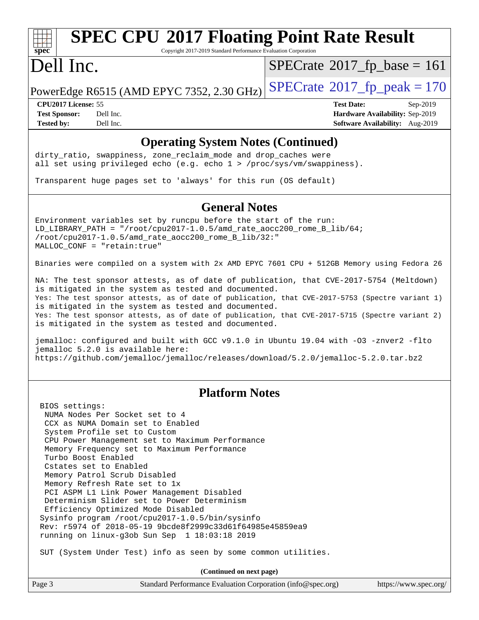## **[SPEC CPU](http://www.spec.org/auto/cpu2017/Docs/result-fields.html#SPECCPU2017FloatingPointRateResult)[2017 Floating Point Rate Result](http://www.spec.org/auto/cpu2017/Docs/result-fields.html#SPECCPU2017FloatingPointRateResult)**

Copyright 2017-2019 Standard Performance Evaluation Corporation

### Dell Inc.

 $SPECTate@2017_fp\_base = 161$ 

PowerEdge R6515 (AMD EPYC 7352, 2.30 GHz)  $\text{SPECrate}^{\circ}2017$  $\text{SPECrate}^{\circ}2017$  $\text{SPECrate}^{\circ}2017$  fp\_peak = 170

**[Tested by:](http://www.spec.org/auto/cpu2017/Docs/result-fields.html#Testedby)** Dell Inc. **[Software Availability:](http://www.spec.org/auto/cpu2017/Docs/result-fields.html#SoftwareAvailability)** Aug-2019

**[CPU2017 License:](http://www.spec.org/auto/cpu2017/Docs/result-fields.html#CPU2017License)** 55 **[Test Date:](http://www.spec.org/auto/cpu2017/Docs/result-fields.html#TestDate)** Sep-2019 **[Test Sponsor:](http://www.spec.org/auto/cpu2017/Docs/result-fields.html#TestSponsor)** Dell Inc. **[Hardware Availability:](http://www.spec.org/auto/cpu2017/Docs/result-fields.html#HardwareAvailability)** Sep-2019

#### **[Operating System Notes \(Continued\)](http://www.spec.org/auto/cpu2017/Docs/result-fields.html#OperatingSystemNotes)**

dirty\_ratio, swappiness, zone\_reclaim\_mode and drop caches were all set using privileged echo (e.g. echo 1 > /proc/sys/vm/swappiness).

Transparent huge pages set to 'always' for this run (OS default)

#### **[General Notes](http://www.spec.org/auto/cpu2017/Docs/result-fields.html#GeneralNotes)**

Environment variables set by runcpu before the start of the run: LD\_LIBRARY\_PATH = "/root/cpu2017-1.0.5/amd\_rate\_aocc200\_rome\_B\_lib/64; /root/cpu2017-1.0.5/amd\_rate\_aocc200\_rome\_B\_lib/32:" MALLOC\_CONF = "retain:true"

Binaries were compiled on a system with 2x AMD EPYC 7601 CPU + 512GB Memory using Fedora 26

NA: The test sponsor attests, as of date of publication, that CVE-2017-5754 (Meltdown) is mitigated in the system as tested and documented. Yes: The test sponsor attests, as of date of publication, that CVE-2017-5753 (Spectre variant 1) is mitigated in the system as tested and documented. Yes: The test sponsor attests, as of date of publication, that CVE-2017-5715 (Spectre variant 2) is mitigated in the system as tested and documented.

jemalloc: configured and built with GCC v9.1.0 in Ubuntu 19.04 with -O3 -znver2 -flto jemalloc 5.2.0 is available here: <https://github.com/jemalloc/jemalloc/releases/download/5.2.0/jemalloc-5.2.0.tar.bz2>

#### **[Platform Notes](http://www.spec.org/auto/cpu2017/Docs/result-fields.html#PlatformNotes)**

 BIOS settings: NUMA Nodes Per Socket set to 4 CCX as NUMA Domain set to Enabled System Profile set to Custom CPU Power Management set to Maximum Performance Memory Frequency set to Maximum Performance Turbo Boost Enabled Cstates set to Enabled Memory Patrol Scrub Disabled Memory Refresh Rate set to 1x PCI ASPM L1 Link Power Management Disabled Determinism Slider set to Power Determinism Efficiency Optimized Mode Disabled Sysinfo program /root/cpu2017-1.0.5/bin/sysinfo Rev: r5974 of 2018-05-19 9bcde8f2999c33d61f64985e45859ea9 running on linux-g3ob Sun Sep 1 18:03:18 2019

SUT (System Under Test) info as seen by some common utilities.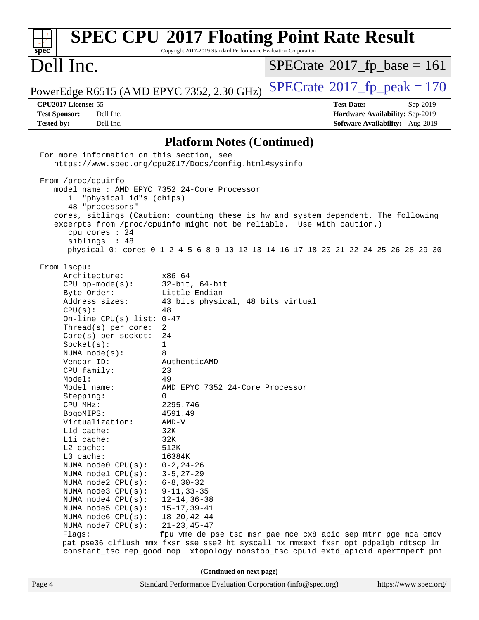| spec                                                                                                                                                                                                                                                                                                                                                                                                                                                                                                                                                                                 | Copyright 2017-2019 Standard Performance Evaluation Corporation                                                                                                                                                                                                                                                                                                                                                                                | <b>SPEC CPU®2017 Floating Point Rate Result</b>                                                                                                                                                                                           |                                 |
|--------------------------------------------------------------------------------------------------------------------------------------------------------------------------------------------------------------------------------------------------------------------------------------------------------------------------------------------------------------------------------------------------------------------------------------------------------------------------------------------------------------------------------------------------------------------------------------|------------------------------------------------------------------------------------------------------------------------------------------------------------------------------------------------------------------------------------------------------------------------------------------------------------------------------------------------------------------------------------------------------------------------------------------------|-------------------------------------------------------------------------------------------------------------------------------------------------------------------------------------------------------------------------------------------|---------------------------------|
| Dell Inc.                                                                                                                                                                                                                                                                                                                                                                                                                                                                                                                                                                            |                                                                                                                                                                                                                                                                                                                                                                                                                                                | $SPECrate^{\circ}2017$ _fp_base = 161                                                                                                                                                                                                     |                                 |
| PowerEdge R6515 (AMD EPYC 7352, 2.30 GHz)                                                                                                                                                                                                                                                                                                                                                                                                                                                                                                                                            |                                                                                                                                                                                                                                                                                                                                                                                                                                                | $SPECrate^{\circ}2017$ _fp_peak = 170                                                                                                                                                                                                     |                                 |
| CPU2017 License: 55                                                                                                                                                                                                                                                                                                                                                                                                                                                                                                                                                                  |                                                                                                                                                                                                                                                                                                                                                                                                                                                | <b>Test Date:</b>                                                                                                                                                                                                                         | Sep-2019                        |
| Dell Inc.<br><b>Test Sponsor:</b>                                                                                                                                                                                                                                                                                                                                                                                                                                                                                                                                                    |                                                                                                                                                                                                                                                                                                                                                                                                                                                |                                                                                                                                                                                                                                           | Hardware Availability: Sep-2019 |
| <b>Tested by:</b><br>Dell Inc.                                                                                                                                                                                                                                                                                                                                                                                                                                                                                                                                                       |                                                                                                                                                                                                                                                                                                                                                                                                                                                |                                                                                                                                                                                                                                           | Software Availability: Aug-2019 |
|                                                                                                                                                                                                                                                                                                                                                                                                                                                                                                                                                                                      | <b>Platform Notes (Continued)</b>                                                                                                                                                                                                                                                                                                                                                                                                              |                                                                                                                                                                                                                                           |                                 |
| For more information on this section, see                                                                                                                                                                                                                                                                                                                                                                                                                                                                                                                                            | https://www.spec.org/cpu2017/Docs/config.html#sysinfo                                                                                                                                                                                                                                                                                                                                                                                          |                                                                                                                                                                                                                                           |                                 |
| From /proc/cpuinfo<br>model name : AMD EPYC 7352 24-Core Processor<br>"physical id"s (chips)<br>1<br>48 "processors"<br>cpu cores : 24                                                                                                                                                                                                                                                                                                                                                                                                                                               |                                                                                                                                                                                                                                                                                                                                                                                                                                                | cores, siblings (Caution: counting these is hw and system dependent. The following<br>excerpts from /proc/cpuinfo might not be reliable. Use with caution.)                                                                               |                                 |
| siblings : 48                                                                                                                                                                                                                                                                                                                                                                                                                                                                                                                                                                        |                                                                                                                                                                                                                                                                                                                                                                                                                                                | physical 0: cores 0 1 2 4 5 6 8 9 10 12 13 14 16 17 18 20 21 22 24 25 26 28 29 30                                                                                                                                                         |                                 |
| From lscpu:<br>Architecture:<br>$CPU$ op-mode( $s$ ):<br>Byte Order:<br>Address sizes:<br>CPU(s):<br>On-line CPU(s) list: $0-47$<br>Thread(s) per core:<br>$Core(s)$ per socket:<br>Socket(s):<br>NUMA $node(s):$<br>Vendor ID:<br>CPU family:<br>Model:<br>Model name:<br>Stepping:<br>CPU MHz:<br>BogoMIPS:<br>Virtualization:<br>L1d cache:<br>Lli cache:<br>L2 cache:<br>L3 cache:<br>NUMA node0 CPU(s):<br>NUMA node1 CPU(s):<br>NUMA node2 CPU(s):<br>NUMA node3 CPU(s):<br>NUMA $node4$ $CPU(s):$<br>NUMA node5 CPU(s):<br>NUMA node6 CPU(s):<br>NUMA node7 CPU(s):<br>Flags: | x86 64<br>$32$ -bit, $64$ -bit<br>Little Endian<br>43 bits physical, 48 bits virtual<br>48<br>$\overline{2}$<br>24<br>1<br>8<br>AuthenticAMD<br>23<br>49<br>AMD EPYC 7352 24-Core Processor<br>0<br>2295.746<br>4591.49<br>$AMD-V$<br>32K<br>32K<br>512K<br>16384K<br>$0 - 2, 24 - 26$<br>$3 - 5, 27 - 29$<br>$6 - 8$ , $30 - 32$<br>$9 - 11, 33 - 35$<br>$12 - 14, 36 - 38$<br>$15 - 17, 39 - 41$<br>$18 - 20, 42 - 44$<br>$21 - 23, 45 - 47$ | fpu vme de pse tsc msr pae mce cx8 apic sep mtrr pge mca cmov<br>pat pse36 clflush mmx fxsr sse sse2 ht syscall nx mmxext fxsr_opt pdpe1gb rdtscp lm<br>constant_tsc rep_good nopl xtopology nonstop_tsc cpuid extd_apicid aperfmperf pni |                                 |
| (Continued on next page)                                                                                                                                                                                                                                                                                                                                                                                                                                                                                                                                                             |                                                                                                                                                                                                                                                                                                                                                                                                                                                |                                                                                                                                                                                                                                           |                                 |
| Page 4                                                                                                                                                                                                                                                                                                                                                                                                                                                                                                                                                                               | Standard Performance Evaluation Corporation (info@spec.org)                                                                                                                                                                                                                                                                                                                                                                                    |                                                                                                                                                                                                                                           | https://www.spec.org/           |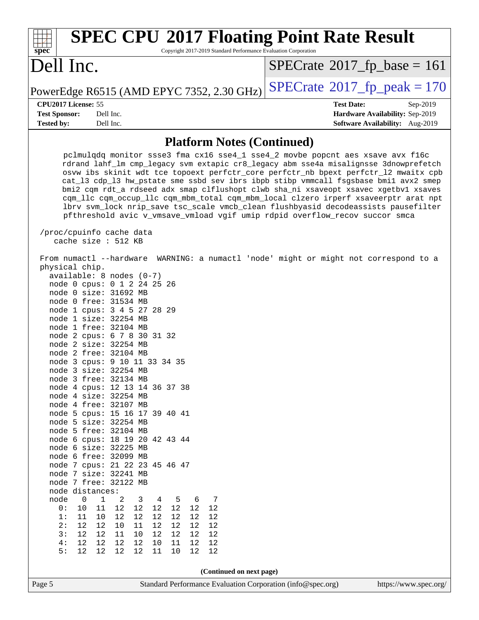| <b>SPEC CPU®2017 Floating Point Rate Result</b><br>Copyright 2017-2019 Standard Performance Evaluation Corporation<br>spec <sup>®</sup>                                                                                                                                                                                                                                                                                                                                                                                                                                                                                                                                                                                                                                                                                                                                                                                                                                                                                                                                                                            |                                                                                                     |
|--------------------------------------------------------------------------------------------------------------------------------------------------------------------------------------------------------------------------------------------------------------------------------------------------------------------------------------------------------------------------------------------------------------------------------------------------------------------------------------------------------------------------------------------------------------------------------------------------------------------------------------------------------------------------------------------------------------------------------------------------------------------------------------------------------------------------------------------------------------------------------------------------------------------------------------------------------------------------------------------------------------------------------------------------------------------------------------------------------------------|-----------------------------------------------------------------------------------------------------|
| Dell Inc.                                                                                                                                                                                                                                                                                                                                                                                                                                                                                                                                                                                                                                                                                                                                                                                                                                                                                                                                                                                                                                                                                                          | $SPECrate^{\circ}2017$ _fp_base = 161                                                               |
| PowerEdge R6515 (AMD EPYC 7352, 2.30 GHz)                                                                                                                                                                                                                                                                                                                                                                                                                                                                                                                                                                                                                                                                                                                                                                                                                                                                                                                                                                                                                                                                          | $SPECTate$ <sup>®</sup> 2017_fp_peak = 170                                                          |
| CPU2017 License: 55<br><b>Test Sponsor:</b><br>Dell Inc.<br>Dell Inc.<br><b>Tested by:</b>                                                                                                                                                                                                                                                                                                                                                                                                                                                                                                                                                                                                                                                                                                                                                                                                                                                                                                                                                                                                                         | <b>Test Date:</b><br>Sep-2019<br>Hardware Availability: Sep-2019<br>Software Availability: Aug-2019 |
| <b>Platform Notes (Continued)</b>                                                                                                                                                                                                                                                                                                                                                                                                                                                                                                                                                                                                                                                                                                                                                                                                                                                                                                                                                                                                                                                                                  |                                                                                                     |
| pclmulqdq monitor ssse3 fma cx16 sse4_1 sse4_2 movbe popcnt aes xsave avx f16c<br>rdrand lahf_lm cmp_legacy svm extapic cr8_legacy abm sse4a misalignsse 3dnowprefetch<br>osvw ibs skinit wdt tce topoext perfctr_core perfctr_nb bpext perfctr_12 mwaitx cpb<br>cat_13 cdp_13 hw_pstate sme ssbd sev ibrs ibpb stibp vmmcall fsgsbase bmil avx2 smep<br>bmi2 cqm rdt_a rdseed adx smap clflushopt clwb sha_ni xsaveopt xsavec xgetbvl xsaves<br>cqm_llc cqm_occup_llc cqm_mbm_total cqm_mbm_local clzero irperf xsaveerptr arat npt<br>lbrv svm_lock nrip_save tsc_scale vmcb_clean flushbyasid decodeassists pausefilter<br>pfthreshold avic v_vmsave_vmload vgif umip rdpid overflow_recov succor smca<br>/proc/cpuinfo cache data                                                                                                                                                                                                                                                                                                                                                                              |                                                                                                     |
| cache size : 512 KB                                                                                                                                                                                                                                                                                                                                                                                                                                                                                                                                                                                                                                                                                                                                                                                                                                                                                                                                                                                                                                                                                                |                                                                                                     |
| From numactl --hardware<br>physical chip.<br>$available: 8 nodes (0-7)$<br>node 0 cpus: 0 1 2 24 25 26<br>node 0 size: 31692 MB<br>node 0 free: 31534 MB<br>node 1 cpus: 3 4 5 27 28 29<br>node 1 size: 32254 MB<br>node 1 free: 32104 MB<br>node 2 cpus: 6 7 8 30 31 32<br>node 2 size: 32254 MB<br>node 2 free: 32104 MB<br>node 3 cpus: 9 10 11 33 34 35<br>node 3 size: 32254 MB<br>node 3 free: 32134 MB<br>node 4 cpus: 12 13 14 36 37 38<br>node 4 size: 32254 MB<br>node 4 free: 32107 MB<br>node 5 cpus: 15 16 17 39 40 41<br>node 5 size: 32254 MB<br>node 5 free: 32104 MB<br>node 6 cpus: 18 19 20 42 43 44<br>node 6 size: 32225 MB<br>node 6 free: 32099 MB<br>node 7 cpus: 21 22 23 45 46 47<br>node 7 size: 32241 MB<br>node 7 free: 32122 MB<br>node distances:<br>node<br>0<br>1<br>2<br>3<br>5<br>7<br>4<br>- 6<br>0:<br>12<br>10<br>12<br>12<br>12<br>12<br>12<br>11<br>12<br>12<br>12<br>12<br>12<br>12<br>1:<br>11<br>10<br>12<br>2:<br>12<br>12<br>10<br>12<br>12<br>11<br>12<br>$12$<br>3:<br>12<br>12<br>12<br>12<br>11<br>10<br>12<br>4:<br>12<br>12<br>11<br>12<br>12<br>10<br>12<br>12 | WARNING: a numactl 'node' might or might not correspond to a                                        |
| 5:<br>12<br>12<br>12<br>12<br>11<br>10<br>12<br>12                                                                                                                                                                                                                                                                                                                                                                                                                                                                                                                                                                                                                                                                                                                                                                                                                                                                                                                                                                                                                                                                 |                                                                                                     |
| (Continued on next page)                                                                                                                                                                                                                                                                                                                                                                                                                                                                                                                                                                                                                                                                                                                                                                                                                                                                                                                                                                                                                                                                                           |                                                                                                     |

Page 5 Standard Performance Evaluation Corporation [\(info@spec.org\)](mailto:info@spec.org) <https://www.spec.org/>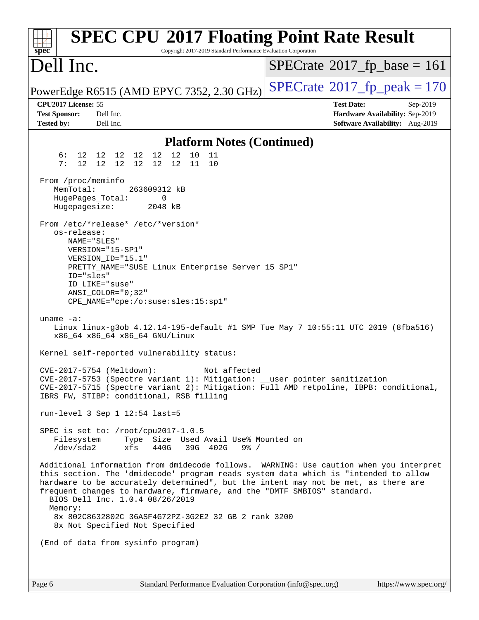| <b>SPEC CPU®2017 Floating Point Rate Result</b><br>Copyright 2017-2019 Standard Performance Evaluation Corporation<br>spec <sup>®</sup>                                                                                                                                                                                                                                                                                                                                               |                                                                                                     |
|---------------------------------------------------------------------------------------------------------------------------------------------------------------------------------------------------------------------------------------------------------------------------------------------------------------------------------------------------------------------------------------------------------------------------------------------------------------------------------------|-----------------------------------------------------------------------------------------------------|
| Dell Inc.                                                                                                                                                                                                                                                                                                                                                                                                                                                                             | $SPECrate^{\circ}2017$ fp base = 161                                                                |
| PowerEdge R6515 (AMD EPYC 7352, 2.30 GHz)                                                                                                                                                                                                                                                                                                                                                                                                                                             | $SPECTate$ <sup>®</sup> 2017_fp_peak = 170                                                          |
| CPU2017 License: 55<br><b>Test Sponsor:</b><br>Dell Inc.<br><b>Tested by:</b><br>Dell Inc.                                                                                                                                                                                                                                                                                                                                                                                            | <b>Test Date:</b><br>Sep-2019<br>Hardware Availability: Sep-2019<br>Software Availability: Aug-2019 |
| <b>Platform Notes (Continued)</b>                                                                                                                                                                                                                                                                                                                                                                                                                                                     |                                                                                                     |
| 12<br>12<br>10<br>6 :<br>12 12 12<br>12<br>11<br>12 <sup>°</sup><br>12 12<br>12 12<br>11<br>7:<br>12<br>10                                                                                                                                                                                                                                                                                                                                                                            |                                                                                                     |
| From /proc/meminfo<br>MemTotal:<br>263609312 kB<br>HugePages_Total:<br>0<br>Hugepagesize:<br>2048 kB                                                                                                                                                                                                                                                                                                                                                                                  |                                                                                                     |
| From /etc/*release* /etc/*version*<br>os-release:<br>NAME="SLES"<br>VERSION="15-SP1"<br>VERSION_ID="15.1"<br>PRETTY_NAME="SUSE Linux Enterprise Server 15 SP1"<br>ID="sles"<br>ID LIKE="suse"<br>ANSI COLOR="0;32"<br>CPE_NAME="cpe:/o:suse:sles:15:sp1"                                                                                                                                                                                                                              |                                                                                                     |
| uname $-a$ :<br>Linux linux-g3ob 4.12.14-195-default #1 SMP Tue May 7 10:55:11 UTC 2019 (8fba516)<br>x86_64 x86_64 x86_64 GNU/Linux                                                                                                                                                                                                                                                                                                                                                   |                                                                                                     |
| Kernel self-reported vulnerability status:                                                                                                                                                                                                                                                                                                                                                                                                                                            |                                                                                                     |
| $CVE-2017-5754$ (Meltdown):<br>Not affected<br>CVE-2017-5753 (Spectre variant 1): Mitigation: __user pointer sanitization<br>CVE-2017-5715 (Spectre variant 2): Mitigation: Full AMD retpoline, IBPB: conditional,<br>IBRS_FW, STIBP: conditional, RSB filling                                                                                                                                                                                                                        |                                                                                                     |
| run-level 3 Sep $1$ 12:54 last=5                                                                                                                                                                                                                                                                                                                                                                                                                                                      |                                                                                                     |
| SPEC is set to: /root/cpu2017-1.0.5<br>Type Size Used Avail Use% Mounted on<br>Filesystem<br>$/\text{dev/sda2}$<br>39G 402G<br>xfs<br>440G<br>$9\frac{8}{10}$ /                                                                                                                                                                                                                                                                                                                       |                                                                                                     |
| Additional information from dmidecode follows. WARNING: Use caution when you interpret<br>this section. The 'dmidecode' program reads system data which is "intended to allow<br>hardware to be accurately determined", but the intent may not be met, as there are<br>frequent changes to hardware, firmware, and the "DMTF SMBIOS" standard.<br>BIOS Dell Inc. 1.0.4 08/26/2019<br>Memory:<br>8x 802C8632802C 36ASF4G72PZ-3G2E2 32 GB 2 rank 3200<br>8x Not Specified Not Specified |                                                                                                     |
| (End of data from sysinfo program)                                                                                                                                                                                                                                                                                                                                                                                                                                                    |                                                                                                     |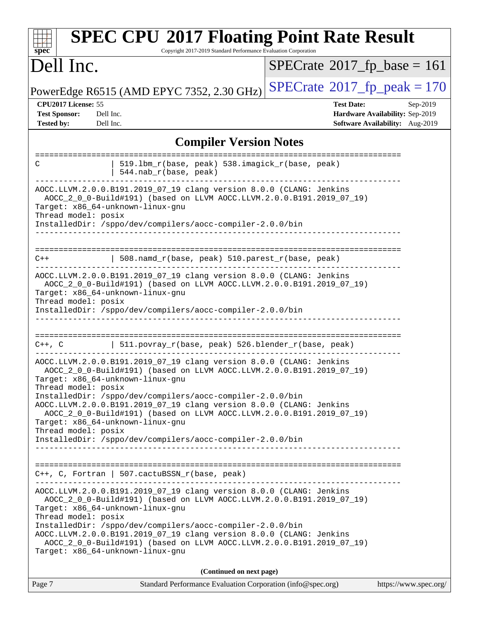| <b>SPEC CPU®2017 Floating Point Rate Result</b><br>Copyright 2017-2019 Standard Performance Evaluation Corporation<br>spec <sup>®</sup>                                                                                                                                                                                                                                                                              |                                                                                                     |
|----------------------------------------------------------------------------------------------------------------------------------------------------------------------------------------------------------------------------------------------------------------------------------------------------------------------------------------------------------------------------------------------------------------------|-----------------------------------------------------------------------------------------------------|
| Dell Inc.                                                                                                                                                                                                                                                                                                                                                                                                            | $SPECrate^{\circ}2017$ fp base = 161                                                                |
| PowerEdge R6515 (AMD EPYC 7352, 2.30 GHz)                                                                                                                                                                                                                                                                                                                                                                            | $SPECrate^{\circledcirc}2017_fp\_peak = 170$                                                        |
| CPU2017 License: 55<br><b>Test Sponsor:</b><br>Dell Inc.<br><b>Tested by:</b><br>Dell Inc.                                                                                                                                                                                                                                                                                                                           | <b>Test Date:</b><br>Sep-2019<br>Hardware Availability: Sep-2019<br>Software Availability: Aug-2019 |
| <b>Compiler Version Notes</b>                                                                                                                                                                                                                                                                                                                                                                                        |                                                                                                     |
| 519.1bm_r(base, peak) 538.imagick_r(base, peak)<br>C<br>544.nab_r(base, peak)                                                                                                                                                                                                                                                                                                                                        |                                                                                                     |
| AOCC.LLVM.2.0.0.B191.2019_07_19 clang version 8.0.0 (CLANG: Jenkins<br>AOCC_2_0_0-Build#191) (based on LLVM AOCC.LLVM.2.0.0.B191.2019_07_19)<br>Target: x86_64-unknown-linux-gnu<br>Thread model: posix<br>InstalledDir: /sppo/dev/compilers/aocc-compiler-2.0.0/bin                                                                                                                                                 |                                                                                                     |
| 508.namd_r(base, peak) 510.parest_r(base, peak)<br>$C++$                                                                                                                                                                                                                                                                                                                                                             |                                                                                                     |
| AOCC.LLVM.2.0.0.B191.2019_07_19 clang version 8.0.0 (CLANG: Jenkins<br>AOCC_2_0_0-Build#191) (based on LLVM AOCC.LLVM.2.0.0.B191.2019_07_19)<br>Target: x86_64-unknown-linux-gnu<br>Thread model: posix<br>InstalledDir: /sppo/dev/compilers/aocc-compiler-2.0.0/bin                                                                                                                                                 |                                                                                                     |
| ==================<br>  511.povray_r(base, peak) 526.blender_r(base, peak)<br>$C++$ , $C$                                                                                                                                                                                                                                                                                                                            |                                                                                                     |
| AOCC.LLVM.2.0.0.B191.2019_07_19 clang version 8.0.0 (CLANG: Jenkins<br>AOCC_2_0_0-Build#191) (based on LLVM AOCC.LLVM.2.0.0.B191.2019_07_19)<br>Target: x86_64-unknown-linux-gnu<br>Thread model: posix<br>InstalledDir: /sppo/dev/compilers/aocc-compiler-2.0.0/bin<br>AOCC.LLVM.2.0.0.B191.2019_07_19 clang version 8.0.0 (CLANG: Jenkins<br>AOCC 2 0 0-Build#191) (based on LLVM AOCC.LLVM.2.0.0.B191.2019 07 19) |                                                                                                     |
| Target: x86 64-unknown-linux-qnu<br>Thread model: posix<br>InstalledDir: /sppo/dev/compilers/aocc-compiler-2.0.0/bin                                                                                                                                                                                                                                                                                                 |                                                                                                     |
| $C++$ , C, Fortran   507.cactuBSSN_r(base, peak)                                                                                                                                                                                                                                                                                                                                                                     |                                                                                                     |
| AOCC.LLVM.2.0.0.B191.2019_07_19 clang version 8.0.0 (CLANG: Jenkins<br>AOCC_2_0_0-Build#191) (based on LLVM AOCC.LLVM.2.0.0.B191.2019_07_19)<br>Target: x86_64-unknown-linux-gnu<br>Thread model: posix                                                                                                                                                                                                              |                                                                                                     |
| InstalledDir: /sppo/dev/compilers/aocc-compiler-2.0.0/bin<br>AOCC.LLVM.2.0.0.B191.2019_07_19 clang version 8.0.0 (CLANG: Jenkins<br>AOCC_2_0_0-Build#191) (based on LLVM AOCC.LLVM.2.0.0.B191.2019_07_19)<br>Target: x86_64-unknown-linux-gnu                                                                                                                                                                        |                                                                                                     |
| (Continued on next page)                                                                                                                                                                                                                                                                                                                                                                                             |                                                                                                     |
| Standard Performance Evaluation Corporation (info@spec.org)<br>Page 7                                                                                                                                                                                                                                                                                                                                                | https://www.spec.org/                                                                               |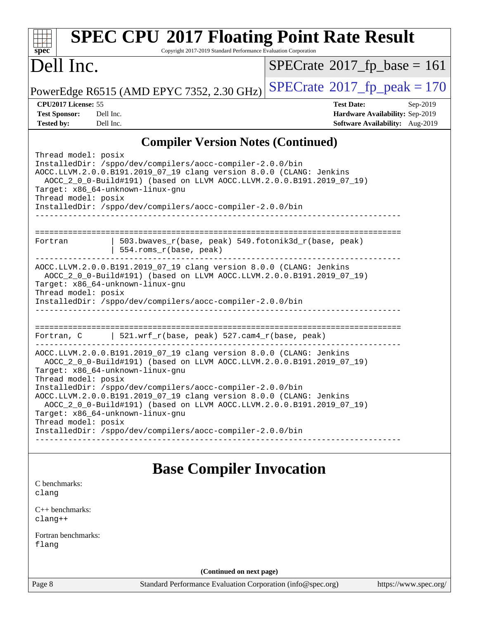| <b>SPEC CPU®2017 Floating Point Rate Result</b><br>Copyright 2017-2019 Standard Performance Evaluation Corporation<br>$spec^*$                                                                                                                                                                                                                           |                                                                                                     |  |
|----------------------------------------------------------------------------------------------------------------------------------------------------------------------------------------------------------------------------------------------------------------------------------------------------------------------------------------------------------|-----------------------------------------------------------------------------------------------------|--|
| Dell Inc.                                                                                                                                                                                                                                                                                                                                                | $SPECrate^{\circ}2017$ fp base = 161                                                                |  |
| PowerEdge R6515 (AMD EPYC 7352, 2.30 GHz)                                                                                                                                                                                                                                                                                                                | $SPECTate$ <sup>®</sup> 2017_fp_peak = 170                                                          |  |
| CPU2017 License: 55<br><b>Test Sponsor:</b><br>Dell Inc.<br><b>Tested by:</b><br>Dell Inc.                                                                                                                                                                                                                                                               | <b>Test Date:</b><br>Sep-2019<br>Hardware Availability: Sep-2019<br>Software Availability: Aug-2019 |  |
| <b>Compiler Version Notes (Continued)</b>                                                                                                                                                                                                                                                                                                                |                                                                                                     |  |
| Thread model: posix<br>InstalledDir: /sppo/dev/compilers/aocc-compiler-2.0.0/bin<br>AOCC.LLVM.2.0.0.B191.2019_07_19 clang version 8.0.0 (CLANG: Jenkins<br>AOCC_2_0_0-Build#191) (based on LLVM AOCC.LLVM.2.0.0.B191.2019_07_19)<br>Target: x86_64-unknown-linux-gnu<br>Thread model: posix<br>InstalledDir: /sppo/dev/compilers/aocc-compiler-2.0.0/bin |                                                                                                     |  |
| 503.bwaves_r(base, peak) 549.fotonik3d_r(base, peak)<br>Fortran<br>554.roms_r(base, peak)                                                                                                                                                                                                                                                                |                                                                                                     |  |
| AOCC.LLVM.2.0.0.B191.2019_07_19 clang version 8.0.0 (CLANG: Jenkins<br>AOCC_2_0_0-Build#191) (based on LLVM AOCC.LLVM.2.0.0.B191.2019_07_19)<br>Target: x86_64-unknown-linux-gnu<br>Thread model: posix<br>InstalledDir: /sppo/dev/compilers/aocc-compiler-2.0.0/bin                                                                                     |                                                                                                     |  |
| Fortran, C $\vert$ 521.wrf_r(base, peak) 527.cam4_r(base, peak)                                                                                                                                                                                                                                                                                          |                                                                                                     |  |
| AOCC.LLVM.2.0.0.B191.2019_07_19 clang version 8.0.0 (CLANG: Jenkins<br>AOCC_2_0_0-Build#191) (based on LLVM AOCC.LLVM.2.0.0.B191.2019_07_19)<br>Target: x86_64-unknown-linux-gnu                                                                                                                                                                         |                                                                                                     |  |
| Thread model: posix<br>InstalledDir: /sppo/dev/compilers/aocc-compiler-2.0.0/bin<br>AOCC.LLVM.2.0.0.B191.2019_07_19 clang version 8.0.0 (CLANG: Jenkins<br>AOCC_2_0_0-Build#191) (based on LLVM AOCC.LLVM.2.0.0.B191.2019_07_19)<br>Target: x86_64-unknown-linux-gnu                                                                                     |                                                                                                     |  |
| Thread model: posix<br>InstalledDir: /sppo/dev/compilers/aocc-compiler-2.0.0/bin                                                                                                                                                                                                                                                                         |                                                                                                     |  |
| <b>Base Compiler Invocation</b>                                                                                                                                                                                                                                                                                                                          |                                                                                                     |  |
| C benchmarks:<br>clang                                                                                                                                                                                                                                                                                                                                   |                                                                                                     |  |
| C++ benchmarks:<br>$clang++$                                                                                                                                                                                                                                                                                                                             |                                                                                                     |  |
| Fortran benchmarks:<br>flang                                                                                                                                                                                                                                                                                                                             |                                                                                                     |  |
| (Continued on next page)                                                                                                                                                                                                                                                                                                                                 |                                                                                                     |  |
| Page 8<br>Standard Performance Evaluation Corporation (info@spec.org)                                                                                                                                                                                                                                                                                    | https://www.spec.org/                                                                               |  |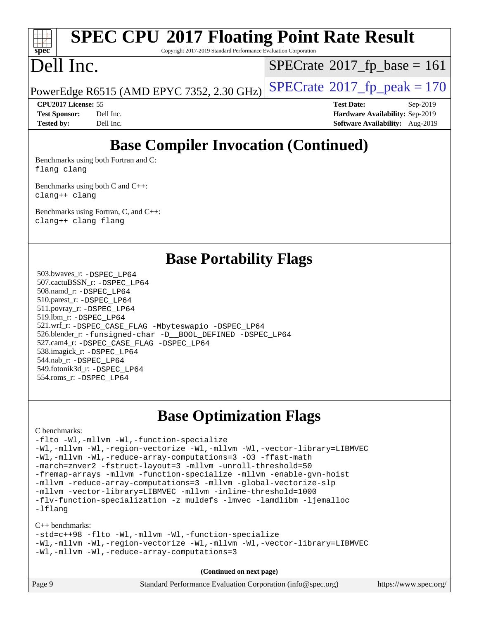## **[SPEC CPU](http://www.spec.org/auto/cpu2017/Docs/result-fields.html#SPECCPU2017FloatingPointRateResult)[2017 Floating Point Rate Result](http://www.spec.org/auto/cpu2017/Docs/result-fields.html#SPECCPU2017FloatingPointRateResult)**

Copyright 2017-2019 Standard Performance Evaluation Corporation

### Dell Inc.

 $SPECTate@2017_fp\_base = 161$ 

PowerEdge R6515 (AMD EPYC 7352, 2.30 GHz)  $\left|$  [SPECrate](http://www.spec.org/auto/cpu2017/Docs/result-fields.html#SPECrate2017fppeak)®[2017\\_fp\\_peak = 1](http://www.spec.org/auto/cpu2017/Docs/result-fields.html#SPECrate2017fppeak)70

**[CPU2017 License:](http://www.spec.org/auto/cpu2017/Docs/result-fields.html#CPU2017License)** 55 **[Test Date:](http://www.spec.org/auto/cpu2017/Docs/result-fields.html#TestDate)** Sep-2019 **[Test Sponsor:](http://www.spec.org/auto/cpu2017/Docs/result-fields.html#TestSponsor)** Dell Inc. **[Hardware Availability:](http://www.spec.org/auto/cpu2017/Docs/result-fields.html#HardwareAvailability)** Sep-2019 **[Tested by:](http://www.spec.org/auto/cpu2017/Docs/result-fields.html#Testedby)** Dell Inc. **[Software Availability:](http://www.spec.org/auto/cpu2017/Docs/result-fields.html#SoftwareAvailability)** Aug-2019

### **[Base Compiler Invocation \(Continued\)](http://www.spec.org/auto/cpu2017/Docs/result-fields.html#BaseCompilerInvocation)**

[Benchmarks using both Fortran and C](http://www.spec.org/auto/cpu2017/Docs/result-fields.html#BenchmarksusingbothFortranandC): [flang](http://www.spec.org/cpu2017/results/res2019q3/cpu2017-20190902-17384.flags.html#user_CC_FCbase_flang) [clang](http://www.spec.org/cpu2017/results/res2019q3/cpu2017-20190902-17384.flags.html#user_CC_FCbase_clang-c)

[Benchmarks using both C and C++](http://www.spec.org/auto/cpu2017/Docs/result-fields.html#BenchmarksusingbothCandCXX): [clang++](http://www.spec.org/cpu2017/results/res2019q3/cpu2017-20190902-17384.flags.html#user_CC_CXXbase_clang-cpp) [clang](http://www.spec.org/cpu2017/results/res2019q3/cpu2017-20190902-17384.flags.html#user_CC_CXXbase_clang-c)

[Benchmarks using Fortran, C, and C++:](http://www.spec.org/auto/cpu2017/Docs/result-fields.html#BenchmarksusingFortranCandCXX) [clang++](http://www.spec.org/cpu2017/results/res2019q3/cpu2017-20190902-17384.flags.html#user_CC_CXX_FCbase_clang-cpp) [clang](http://www.spec.org/cpu2017/results/res2019q3/cpu2017-20190902-17384.flags.html#user_CC_CXX_FCbase_clang-c) [flang](http://www.spec.org/cpu2017/results/res2019q3/cpu2017-20190902-17384.flags.html#user_CC_CXX_FCbase_flang)

### **[Base Portability Flags](http://www.spec.org/auto/cpu2017/Docs/result-fields.html#BasePortabilityFlags)**

 503.bwaves\_r: [-DSPEC\\_LP64](http://www.spec.org/cpu2017/results/res2019q3/cpu2017-20190902-17384.flags.html#suite_baseEXTRA_PORTABILITY503_bwaves_r_DSPEC_LP64) 507.cactuBSSN\_r: [-DSPEC\\_LP64](http://www.spec.org/cpu2017/results/res2019q3/cpu2017-20190902-17384.flags.html#suite_baseEXTRA_PORTABILITY507_cactuBSSN_r_DSPEC_LP64) 508.namd\_r: [-DSPEC\\_LP64](http://www.spec.org/cpu2017/results/res2019q3/cpu2017-20190902-17384.flags.html#suite_baseEXTRA_PORTABILITY508_namd_r_DSPEC_LP64) 510.parest\_r: [-DSPEC\\_LP64](http://www.spec.org/cpu2017/results/res2019q3/cpu2017-20190902-17384.flags.html#suite_baseEXTRA_PORTABILITY510_parest_r_DSPEC_LP64) 511.povray\_r: [-DSPEC\\_LP64](http://www.spec.org/cpu2017/results/res2019q3/cpu2017-20190902-17384.flags.html#suite_baseEXTRA_PORTABILITY511_povray_r_DSPEC_LP64) 519.lbm\_r: [-DSPEC\\_LP64](http://www.spec.org/cpu2017/results/res2019q3/cpu2017-20190902-17384.flags.html#suite_baseEXTRA_PORTABILITY519_lbm_r_DSPEC_LP64) 521.wrf\_r: [-DSPEC\\_CASE\\_FLAG](http://www.spec.org/cpu2017/results/res2019q3/cpu2017-20190902-17384.flags.html#b521.wrf_r_baseCPORTABILITY_DSPEC_CASE_FLAG) [-Mbyteswapio](http://www.spec.org/cpu2017/results/res2019q3/cpu2017-20190902-17384.flags.html#user_baseFPORTABILITY521_wrf_r_F-mbyteswapio_543c39ce38db59bcbc3b888917ef58c313007ae1c27520b689e012995ae261114051d1d5efcb4182d175ce22a6a15532d3a9999882dd2c360e6d853f41da6883) [-DSPEC\\_LP64](http://www.spec.org/cpu2017/results/res2019q3/cpu2017-20190902-17384.flags.html#suite_baseEXTRA_PORTABILITY521_wrf_r_DSPEC_LP64) 526.blender\_r: [-funsigned-char](http://www.spec.org/cpu2017/results/res2019q3/cpu2017-20190902-17384.flags.html#user_baseCPORTABILITY526_blender_r_aocc-unsigned-char) [-D\\_\\_BOOL\\_DEFINED](http://www.spec.org/cpu2017/results/res2019q3/cpu2017-20190902-17384.flags.html#b526.blender_r_baseCXXPORTABILITY_D__BOOL_DEFINED) [-DSPEC\\_LP64](http://www.spec.org/cpu2017/results/res2019q3/cpu2017-20190902-17384.flags.html#suite_baseEXTRA_PORTABILITY526_blender_r_DSPEC_LP64) 527.cam4\_r: [-DSPEC\\_CASE\\_FLAG](http://www.spec.org/cpu2017/results/res2019q3/cpu2017-20190902-17384.flags.html#b527.cam4_r_basePORTABILITY_DSPEC_CASE_FLAG) [-DSPEC\\_LP64](http://www.spec.org/cpu2017/results/res2019q3/cpu2017-20190902-17384.flags.html#suite_baseEXTRA_PORTABILITY527_cam4_r_DSPEC_LP64) 538.imagick\_r: [-DSPEC\\_LP64](http://www.spec.org/cpu2017/results/res2019q3/cpu2017-20190902-17384.flags.html#suite_baseEXTRA_PORTABILITY538_imagick_r_DSPEC_LP64) 544.nab\_r: [-DSPEC\\_LP64](http://www.spec.org/cpu2017/results/res2019q3/cpu2017-20190902-17384.flags.html#suite_baseEXTRA_PORTABILITY544_nab_r_DSPEC_LP64) 549.fotonik3d\_r: [-DSPEC\\_LP64](http://www.spec.org/cpu2017/results/res2019q3/cpu2017-20190902-17384.flags.html#suite_baseEXTRA_PORTABILITY549_fotonik3d_r_DSPEC_LP64) 554.roms\_r: [-DSPEC\\_LP64](http://www.spec.org/cpu2017/results/res2019q3/cpu2017-20190902-17384.flags.html#suite_baseEXTRA_PORTABILITY554_roms_r_DSPEC_LP64)

### **[Base Optimization Flags](http://www.spec.org/auto/cpu2017/Docs/result-fields.html#BaseOptimizationFlags)**

#### [C benchmarks](http://www.spec.org/auto/cpu2017/Docs/result-fields.html#Cbenchmarks):

[-flto](http://www.spec.org/cpu2017/results/res2019q3/cpu2017-20190902-17384.flags.html#user_CCbase_aocc-flto) [-Wl,-mllvm -Wl,-function-specialize](http://www.spec.org/cpu2017/results/res2019q3/cpu2017-20190902-17384.flags.html#user_CCbase_F-function-specialize_7e7e661e57922243ee67c9a1251cb8910e607325179a0ce7f2884e09a6f5d4a5ef0ae4f37e8a2a11c95fc48e931f06dc2b6016f14b511fcb441e048bef1b065a) [-Wl,-mllvm -Wl,-region-vectorize](http://www.spec.org/cpu2017/results/res2019q3/cpu2017-20190902-17384.flags.html#user_CCbase_F-region-vectorize_fb6c6b5aa293c88efc6c7c2b52b20755e943585b1fe8658c35afef78727fff56e1a56891413c30e36b8e2a6f9a71126986319243e80eb6110b78b288f533c52b) [-Wl,-mllvm -Wl,-vector-library=LIBMVEC](http://www.spec.org/cpu2017/results/res2019q3/cpu2017-20190902-17384.flags.html#user_CCbase_F-use-vector-library_0a14b27fae317f283640384a31f7bfcc2bd4c1d0b5cfc618a3a430800c9b20217b00f61303eff223a3251b4f06ffbc9739dc5296db9d1fbb9ad24a3939d86d66) [-Wl,-mllvm -Wl,-reduce-array-computations=3](http://www.spec.org/cpu2017/results/res2019q3/cpu2017-20190902-17384.flags.html#user_CCbase_F-reduce-array-computations_b882aefe7a5dda4e33149f6299762b9a720dace3e498e13756f4c04e5a19edf5315c1f3993de2e61ec41e8c206231f84e05da7040e1bb5d69ba27d10a12507e4) [-O3](http://www.spec.org/cpu2017/results/res2019q3/cpu2017-20190902-17384.flags.html#user_CCbase_F-O3) [-ffast-math](http://www.spec.org/cpu2017/results/res2019q3/cpu2017-20190902-17384.flags.html#user_CCbase_aocc-ffast-math) [-march=znver2](http://www.spec.org/cpu2017/results/res2019q3/cpu2017-20190902-17384.flags.html#user_CCbase_aocc-march_3e2e19cff2eeef60c5d90b059483627c9ea47eca6d66670dbd53f9185f6439e27eb5e104cf773e9e8ab18c8842ce63e461a3e948d0214bd567ef3ade411bf467) [-fstruct-layout=3](http://www.spec.org/cpu2017/results/res2019q3/cpu2017-20190902-17384.flags.html#user_CCbase_F-struct-layout) [-mllvm -unroll-threshold=50](http://www.spec.org/cpu2017/results/res2019q3/cpu2017-20190902-17384.flags.html#user_CCbase_F-unroll-threshold_458874500b2c105d6d5cb4d7a611c40e2b16e9e3d26b355fea72d644c3673b4de4b3932662f0ed3dbec75c491a13da2d2ca81180bd779dc531083ef1e1e549dc) [-fremap-arrays](http://www.spec.org/cpu2017/results/res2019q3/cpu2017-20190902-17384.flags.html#user_CCbase_F-fremap-arrays) [-mllvm -function-specialize](http://www.spec.org/cpu2017/results/res2019q3/cpu2017-20190902-17384.flags.html#user_CCbase_F-function-specialize_233b3bdba86027f1b094368157e481c5bc59f40286dc25bfadc1858dcd5745c24fd30d5f188710db7fea399bcc9f44a80b3ce3aacc70a8870250c3ae5e1f35b8) [-mllvm -enable-gvn-hoist](http://www.spec.org/cpu2017/results/res2019q3/cpu2017-20190902-17384.flags.html#user_CCbase_F-enable-gvn-hoist_e5856354646dd6ca1333a0ad99b817e4cf8932b91b82809fd8fd47ceff7b22a89eba5c98fd3e3fa5200368fd772cec3dd56abc3c8f7b655a71b9f9848dddedd5) [-mllvm -reduce-array-computations=3](http://www.spec.org/cpu2017/results/res2019q3/cpu2017-20190902-17384.flags.html#user_CCbase_F-reduce-array-computations_aceadb8604558b566e0e3a0d7a3c1533923dd1fa0889614e16288028922629a28d5695c24d3b3be4306b1e311c54317dfffe3a2e57fbcaabc737a1798de39145) [-mllvm -global-vectorize-slp](http://www.spec.org/cpu2017/results/res2019q3/cpu2017-20190902-17384.flags.html#user_CCbase_F-global-vectorize-slp_a3935e8627af4ced727033b1ffd4db27f4d541a363d28d82bf4c2925fb3a0fd4115d6e42d13a2829f9e024d6608eb67a85cb49770f2da5c5ac8dbc737afad603) [-mllvm -vector-library=LIBMVEC](http://www.spec.org/cpu2017/results/res2019q3/cpu2017-20190902-17384.flags.html#user_CCbase_F-use-vector-library_e584e20b4f7ec96aa109254b65d8e01d864f3d68580371b9d93ed7c338191d4cfce20c3c864632264effc6bbe4c7c38153d02096a342ee92501c4a53204a7871) [-mllvm -inline-threshold=1000](http://www.spec.org/cpu2017/results/res2019q3/cpu2017-20190902-17384.flags.html#user_CCbase_dragonegg-llvm-inline-threshold_b7832241b0a6397e4ecdbaf0eb7defdc10f885c2a282fa3240fdc99844d543fda39cf8a4a9dccf68cf19b5438ac3b455264f478df15da0f4988afa40d8243bab) [-flv-function-specialization](http://www.spec.org/cpu2017/results/res2019q3/cpu2017-20190902-17384.flags.html#user_CCbase_F-flv-function-specialization) [-z muldefs](http://www.spec.org/cpu2017/results/res2019q3/cpu2017-20190902-17384.flags.html#user_CCbase_aocc-muldefs) [-lmvec](http://www.spec.org/cpu2017/results/res2019q3/cpu2017-20190902-17384.flags.html#user_CCbase_F-lmvec) [-lamdlibm](http://www.spec.org/cpu2017/results/res2019q3/cpu2017-20190902-17384.flags.html#user_CCbase_F-lamdlibm) [-ljemalloc](http://www.spec.org/cpu2017/results/res2019q3/cpu2017-20190902-17384.flags.html#user_CCbase_jemalloc-lib) [-lflang](http://www.spec.org/cpu2017/results/res2019q3/cpu2017-20190902-17384.flags.html#user_CCbase_F-lflang)

#### [C++ benchmarks:](http://www.spec.org/auto/cpu2017/Docs/result-fields.html#CXXbenchmarks)

[-std=c++98](http://www.spec.org/cpu2017/results/res2019q3/cpu2017-20190902-17384.flags.html#user_CXXbase_std-cpp) [-flto](http://www.spec.org/cpu2017/results/res2019q3/cpu2017-20190902-17384.flags.html#user_CXXbase_aocc-flto) [-Wl,-mllvm -Wl,-function-specialize](http://www.spec.org/cpu2017/results/res2019q3/cpu2017-20190902-17384.flags.html#user_CXXbase_F-function-specialize_7e7e661e57922243ee67c9a1251cb8910e607325179a0ce7f2884e09a6f5d4a5ef0ae4f37e8a2a11c95fc48e931f06dc2b6016f14b511fcb441e048bef1b065a) [-Wl,-mllvm -Wl,-region-vectorize](http://www.spec.org/cpu2017/results/res2019q3/cpu2017-20190902-17384.flags.html#user_CXXbase_F-region-vectorize_fb6c6b5aa293c88efc6c7c2b52b20755e943585b1fe8658c35afef78727fff56e1a56891413c30e36b8e2a6f9a71126986319243e80eb6110b78b288f533c52b) [-Wl,-mllvm -Wl,-vector-library=LIBMVEC](http://www.spec.org/cpu2017/results/res2019q3/cpu2017-20190902-17384.flags.html#user_CXXbase_F-use-vector-library_0a14b27fae317f283640384a31f7bfcc2bd4c1d0b5cfc618a3a430800c9b20217b00f61303eff223a3251b4f06ffbc9739dc5296db9d1fbb9ad24a3939d86d66) [-Wl,-mllvm -Wl,-reduce-array-computations=3](http://www.spec.org/cpu2017/results/res2019q3/cpu2017-20190902-17384.flags.html#user_CXXbase_F-reduce-array-computations_b882aefe7a5dda4e33149f6299762b9a720dace3e498e13756f4c04e5a19edf5315c1f3993de2e61ec41e8c206231f84e05da7040e1bb5d69ba27d10a12507e4)

| Page 9 | Standard Performance Evaluation Corporation (info@spec.org) | https://www.spec.org/ |
|--------|-------------------------------------------------------------|-----------------------|
|--------|-------------------------------------------------------------|-----------------------|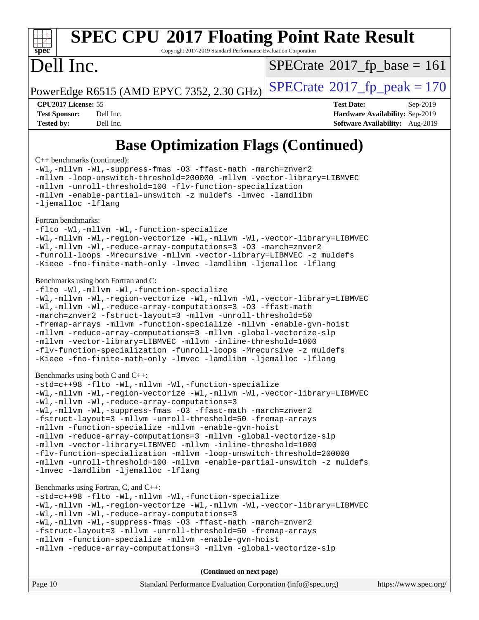## **[SPEC CPU](http://www.spec.org/auto/cpu2017/Docs/result-fields.html#SPECCPU2017FloatingPointRateResult)[2017 Floating Point Rate Result](http://www.spec.org/auto/cpu2017/Docs/result-fields.html#SPECCPU2017FloatingPointRateResult)**

Copyright 2017-2019 Standard Performance Evaluation Corporation

### Dell Inc.

 $SPECTate@2017_fp\_base = 161$ 

PowerEdge R6515 (AMD EPYC 7352, 2.30 GHz)  $\text{SPECrate}^{\circ}2017$  $\text{SPECrate}^{\circ}2017$  $\text{SPECrate}^{\circ}2017$  fp peak = 170

**[CPU2017 License:](http://www.spec.org/auto/cpu2017/Docs/result-fields.html#CPU2017License)** 55 **[Test Date:](http://www.spec.org/auto/cpu2017/Docs/result-fields.html#TestDate)** Sep-2019 **[Test Sponsor:](http://www.spec.org/auto/cpu2017/Docs/result-fields.html#TestSponsor)** Dell Inc. **[Hardware Availability:](http://www.spec.org/auto/cpu2017/Docs/result-fields.html#HardwareAvailability)** Sep-2019 **[Tested by:](http://www.spec.org/auto/cpu2017/Docs/result-fields.html#Testedby)** Dell Inc. **[Software Availability:](http://www.spec.org/auto/cpu2017/Docs/result-fields.html#SoftwareAvailability)** Aug-2019

### **[Base Optimization Flags \(Continued\)](http://www.spec.org/auto/cpu2017/Docs/result-fields.html#BaseOptimizationFlags)**

[C++ benchmarks](http://www.spec.org/auto/cpu2017/Docs/result-fields.html#CXXbenchmarks) (continued):

[-Wl,-mllvm -Wl,-suppress-fmas](http://www.spec.org/cpu2017/results/res2019q3/cpu2017-20190902-17384.flags.html#user_CXXbase_F-suppress-fmas_f00f00630e4a059e8af9c161e9bbf420bcf19890a7f99d5933525e66aa4b0bb3ab2339d2b12d97d3a5f5d271e839fe9c109938e91fe06230fb53651590cfa1e8) [-O3](http://www.spec.org/cpu2017/results/res2019q3/cpu2017-20190902-17384.flags.html#user_CXXbase_F-O3) [-ffast-math](http://www.spec.org/cpu2017/results/res2019q3/cpu2017-20190902-17384.flags.html#user_CXXbase_aocc-ffast-math) [-march=znver2](http://www.spec.org/cpu2017/results/res2019q3/cpu2017-20190902-17384.flags.html#user_CXXbase_aocc-march_3e2e19cff2eeef60c5d90b059483627c9ea47eca6d66670dbd53f9185f6439e27eb5e104cf773e9e8ab18c8842ce63e461a3e948d0214bd567ef3ade411bf467) [-mllvm -loop-unswitch-threshold=200000](http://www.spec.org/cpu2017/results/res2019q3/cpu2017-20190902-17384.flags.html#user_CXXbase_F-loop-unswitch-threshold_f9a82ae3270e55b5fbf79d0d96ee93606b73edbbe527d20b18b7bff1a3a146ad50cfc7454c5297978340ae9213029016a7d16221274d672d3f7f42ed25274e1d) [-mllvm -vector-library=LIBMVEC](http://www.spec.org/cpu2017/results/res2019q3/cpu2017-20190902-17384.flags.html#user_CXXbase_F-use-vector-library_e584e20b4f7ec96aa109254b65d8e01d864f3d68580371b9d93ed7c338191d4cfce20c3c864632264effc6bbe4c7c38153d02096a342ee92501c4a53204a7871) [-mllvm -unroll-threshold=100](http://www.spec.org/cpu2017/results/res2019q3/cpu2017-20190902-17384.flags.html#user_CXXbase_F-unroll-threshold_2755d0c78138845d361fa1543e3a063fffa198df9b3edf0cfb856bbc88a81e1769b12ac7a550c5d35197be55360db1a3f95a8d1304df999456cabf5120c45168) [-flv-function-specialization](http://www.spec.org/cpu2017/results/res2019q3/cpu2017-20190902-17384.flags.html#user_CXXbase_F-flv-function-specialization) [-mllvm -enable-partial-unswitch](http://www.spec.org/cpu2017/results/res2019q3/cpu2017-20190902-17384.flags.html#user_CXXbase_F-enable-partial-unswitch_6e1c33f981d77963b1eaf834973128a7f33ce3f8e27f54689656697a35e89dcc875281e0e6283d043e32f367dcb605ba0e307a92e830f7e326789fa6c61b35d3) [-z muldefs](http://www.spec.org/cpu2017/results/res2019q3/cpu2017-20190902-17384.flags.html#user_CXXbase_aocc-muldefs) [-lmvec](http://www.spec.org/cpu2017/results/res2019q3/cpu2017-20190902-17384.flags.html#user_CXXbase_F-lmvec) [-lamdlibm](http://www.spec.org/cpu2017/results/res2019q3/cpu2017-20190902-17384.flags.html#user_CXXbase_F-lamdlibm) [-ljemalloc](http://www.spec.org/cpu2017/results/res2019q3/cpu2017-20190902-17384.flags.html#user_CXXbase_jemalloc-lib) [-lflang](http://www.spec.org/cpu2017/results/res2019q3/cpu2017-20190902-17384.flags.html#user_CXXbase_F-lflang)

#### [Fortran benchmarks](http://www.spec.org/auto/cpu2017/Docs/result-fields.html#Fortranbenchmarks):

[-flto](http://www.spec.org/cpu2017/results/res2019q3/cpu2017-20190902-17384.flags.html#user_FCbase_aocc-flto) [-Wl,-mllvm -Wl,-function-specialize](http://www.spec.org/cpu2017/results/res2019q3/cpu2017-20190902-17384.flags.html#user_FCbase_F-function-specialize_7e7e661e57922243ee67c9a1251cb8910e607325179a0ce7f2884e09a6f5d4a5ef0ae4f37e8a2a11c95fc48e931f06dc2b6016f14b511fcb441e048bef1b065a) [-Wl,-mllvm -Wl,-region-vectorize](http://www.spec.org/cpu2017/results/res2019q3/cpu2017-20190902-17384.flags.html#user_FCbase_F-region-vectorize_fb6c6b5aa293c88efc6c7c2b52b20755e943585b1fe8658c35afef78727fff56e1a56891413c30e36b8e2a6f9a71126986319243e80eb6110b78b288f533c52b) [-Wl,-mllvm -Wl,-vector-library=LIBMVEC](http://www.spec.org/cpu2017/results/res2019q3/cpu2017-20190902-17384.flags.html#user_FCbase_F-use-vector-library_0a14b27fae317f283640384a31f7bfcc2bd4c1d0b5cfc618a3a430800c9b20217b00f61303eff223a3251b4f06ffbc9739dc5296db9d1fbb9ad24a3939d86d66) [-Wl,-mllvm -Wl,-reduce-array-computations=3](http://www.spec.org/cpu2017/results/res2019q3/cpu2017-20190902-17384.flags.html#user_FCbase_F-reduce-array-computations_b882aefe7a5dda4e33149f6299762b9a720dace3e498e13756f4c04e5a19edf5315c1f3993de2e61ec41e8c206231f84e05da7040e1bb5d69ba27d10a12507e4) [-O3](http://www.spec.org/cpu2017/results/res2019q3/cpu2017-20190902-17384.flags.html#user_FCbase_F-O3) [-march=znver2](http://www.spec.org/cpu2017/results/res2019q3/cpu2017-20190902-17384.flags.html#user_FCbase_aocc-march_3e2e19cff2eeef60c5d90b059483627c9ea47eca6d66670dbd53f9185f6439e27eb5e104cf773e9e8ab18c8842ce63e461a3e948d0214bd567ef3ade411bf467) [-funroll-loops](http://www.spec.org/cpu2017/results/res2019q3/cpu2017-20190902-17384.flags.html#user_FCbase_aocc-unroll-loops) [-Mrecursive](http://www.spec.org/cpu2017/results/res2019q3/cpu2017-20190902-17384.flags.html#user_FCbase_F-mrecursive_20a145d63f12d5750a899e17d4450b5b8b40330a9bb4af13688ca650e6fb30857bbbe44fb35cdbb895df6e5b2769de0a0d7659f51ff17acfbef6febafec4023f) [-mllvm -vector-library=LIBMVEC](http://www.spec.org/cpu2017/results/res2019q3/cpu2017-20190902-17384.flags.html#user_FCbase_F-use-vector-library_e584e20b4f7ec96aa109254b65d8e01d864f3d68580371b9d93ed7c338191d4cfce20c3c864632264effc6bbe4c7c38153d02096a342ee92501c4a53204a7871) [-z muldefs](http://www.spec.org/cpu2017/results/res2019q3/cpu2017-20190902-17384.flags.html#user_FCbase_aocc-muldefs) [-Kieee](http://www.spec.org/cpu2017/results/res2019q3/cpu2017-20190902-17384.flags.html#user_FCbase_F-kieee) [-fno-finite-math-only](http://www.spec.org/cpu2017/results/res2019q3/cpu2017-20190902-17384.flags.html#user_FCbase_aocc-fno-finite-math-only) [-lmvec](http://www.spec.org/cpu2017/results/res2019q3/cpu2017-20190902-17384.flags.html#user_FCbase_F-lmvec) [-lamdlibm](http://www.spec.org/cpu2017/results/res2019q3/cpu2017-20190902-17384.flags.html#user_FCbase_F-lamdlibm) [-ljemalloc](http://www.spec.org/cpu2017/results/res2019q3/cpu2017-20190902-17384.flags.html#user_FCbase_jemalloc-lib) [-lflang](http://www.spec.org/cpu2017/results/res2019q3/cpu2017-20190902-17384.flags.html#user_FCbase_F-lflang)

#### [Benchmarks using both Fortran and C](http://www.spec.org/auto/cpu2017/Docs/result-fields.html#BenchmarksusingbothFortranandC):

```
-flto -Wl,-mllvm -Wl,-function-specialize
-Wl,-mllvm -Wl,-region-vectorize -Wl,-mllvm -Wl,-vector-library=LIBMVEC
-Wl,-mllvm -Wl,-reduce-array-computations=3 -O3 -ffast-math
-march=znver2 -fstruct-layout=3 -mllvm -unroll-threshold=50
-fremap-arrays -mllvm -function-specialize -mllvm -enable-gvn-hoist
-mllvm -reduce-array-computations=3 -mllvm -global-vectorize-slp
-mllvm -vector-library=LIBMVEC -mllvm -inline-threshold=1000
-flv-function-specialization -funroll-loops -Mrecursive -z muldefs
-Kieee -fno-finite-math-only -lmvec -lamdlibm -ljemalloc -lflang
```
#### [Benchmarks using both C and C++](http://www.spec.org/auto/cpu2017/Docs/result-fields.html#BenchmarksusingbothCandCXX):

```
-std=c++98 -flto -Wl,-mllvm -Wl,-function-specialize
-Wl,-mllvm -Wl,-region-vectorize -Wl,-mllvm -Wl,-vector-library=LIBMVEC
-Wl,-mllvm -Wl,-reduce-array-computations=3
-Wl,-mllvm -Wl,-suppress-fmas -O3 -ffast-math -march=znver2
-fstruct-layout=3 -mllvm -unroll-threshold=50 -fremap-arrays
-mllvm -function-specialize -mllvm -enable-gvn-hoist
-mllvm -reduce-array-computations=3 -mllvm -global-vectorize-slp
-mllvm -vector-library=LIBMVEC -mllvm -inline-threshold=1000
-flv-function-specialization -mllvm -loop-unswitch-threshold=200000
-mllvm -unroll-threshold=100 -mllvm -enable-partial-unswitch -z muldefs
-lmvec -lamdlibm -ljemalloc -lflang
```
#### [Benchmarks using Fortran, C, and C++:](http://www.spec.org/auto/cpu2017/Docs/result-fields.html#BenchmarksusingFortranCandCXX)

```
-std=c++98 -flto -Wl,-mllvm -Wl,-function-specialize
-Wl,-mllvm -Wl,-region-vectorize -Wl,-mllvm -Wl,-vector-library=LIBMVEC
-Wl,-mllvm -Wl,-reduce-array-computations=3
-Wl,-mllvm -Wl,-suppress-fmas -O3 -ffast-math -march=znver2
-fstruct-layout=3 -mllvm -unroll-threshold=50 -fremap-arrays
-mllvm -function-specialize -mllvm -enable-gvn-hoist
-mllvm -reduce-array-computations=3 -mllvm -global-vectorize-slp
```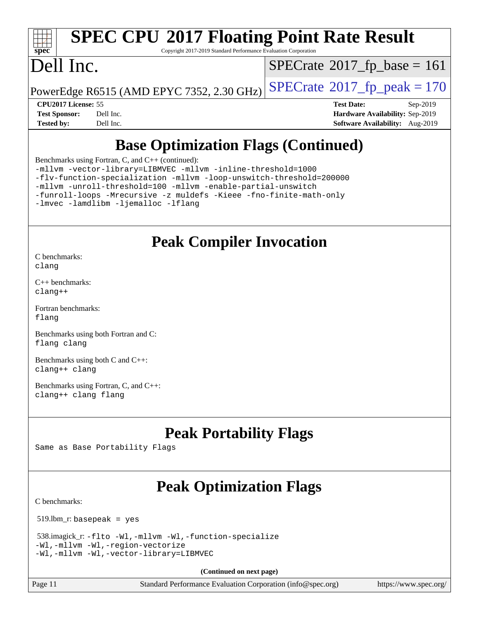## **[SPEC CPU](http://www.spec.org/auto/cpu2017/Docs/result-fields.html#SPECCPU2017FloatingPointRateResult)[2017 Floating Point Rate Result](http://www.spec.org/auto/cpu2017/Docs/result-fields.html#SPECCPU2017FloatingPointRateResult)**

Copyright 2017-2019 Standard Performance Evaluation Corporation

### Dell Inc.

 $SPECrate$ <sup>®</sup>[2017\\_fp\\_base =](http://www.spec.org/auto/cpu2017/Docs/result-fields.html#SPECrate2017fpbase) 161

PowerEdge R6515 (AMD EPYC 7352, 2.30 GHz)  $\left|$  [SPECrate](http://www.spec.org/auto/cpu2017/Docs/result-fields.html#SPECrate2017fppeak)®[2017\\_fp\\_peak = 1](http://www.spec.org/auto/cpu2017/Docs/result-fields.html#SPECrate2017fppeak)70

**[CPU2017 License:](http://www.spec.org/auto/cpu2017/Docs/result-fields.html#CPU2017License)** 55 **[Test Date:](http://www.spec.org/auto/cpu2017/Docs/result-fields.html#TestDate)** Sep-2019 **[Test Sponsor:](http://www.spec.org/auto/cpu2017/Docs/result-fields.html#TestSponsor)** Dell Inc. **[Hardware Availability:](http://www.spec.org/auto/cpu2017/Docs/result-fields.html#HardwareAvailability)** Sep-2019 **[Tested by:](http://www.spec.org/auto/cpu2017/Docs/result-fields.html#Testedby)** Dell Inc. **[Software Availability:](http://www.spec.org/auto/cpu2017/Docs/result-fields.html#SoftwareAvailability)** Aug-2019

### **[Base Optimization Flags \(Continued\)](http://www.spec.org/auto/cpu2017/Docs/result-fields.html#BaseOptimizationFlags)**

[Benchmarks using Fortran, C, and C++](http://www.spec.org/auto/cpu2017/Docs/result-fields.html#BenchmarksusingFortranCandCXX) (continued):

[-mllvm -vector-library=LIBMVEC](http://www.spec.org/cpu2017/results/res2019q3/cpu2017-20190902-17384.flags.html#user_CC_CXX_FCbase_F-use-vector-library_e584e20b4f7ec96aa109254b65d8e01d864f3d68580371b9d93ed7c338191d4cfce20c3c864632264effc6bbe4c7c38153d02096a342ee92501c4a53204a7871) [-mllvm -inline-threshold=1000](http://www.spec.org/cpu2017/results/res2019q3/cpu2017-20190902-17384.flags.html#user_CC_CXX_FCbase_dragonegg-llvm-inline-threshold_b7832241b0a6397e4ecdbaf0eb7defdc10f885c2a282fa3240fdc99844d543fda39cf8a4a9dccf68cf19b5438ac3b455264f478df15da0f4988afa40d8243bab) [-flv-function-specialization](http://www.spec.org/cpu2017/results/res2019q3/cpu2017-20190902-17384.flags.html#user_CC_CXX_FCbase_F-flv-function-specialization) [-mllvm -loop-unswitch-threshold=200000](http://www.spec.org/cpu2017/results/res2019q3/cpu2017-20190902-17384.flags.html#user_CC_CXX_FCbase_F-loop-unswitch-threshold_f9a82ae3270e55b5fbf79d0d96ee93606b73edbbe527d20b18b7bff1a3a146ad50cfc7454c5297978340ae9213029016a7d16221274d672d3f7f42ed25274e1d)

[-mllvm -unroll-threshold=100](http://www.spec.org/cpu2017/results/res2019q3/cpu2017-20190902-17384.flags.html#user_CC_CXX_FCbase_F-unroll-threshold_2755d0c78138845d361fa1543e3a063fffa198df9b3edf0cfb856bbc88a81e1769b12ac7a550c5d35197be55360db1a3f95a8d1304df999456cabf5120c45168) [-mllvm -enable-partial-unswitch](http://www.spec.org/cpu2017/results/res2019q3/cpu2017-20190902-17384.flags.html#user_CC_CXX_FCbase_F-enable-partial-unswitch_6e1c33f981d77963b1eaf834973128a7f33ce3f8e27f54689656697a35e89dcc875281e0e6283d043e32f367dcb605ba0e307a92e830f7e326789fa6c61b35d3)

[-funroll-loops](http://www.spec.org/cpu2017/results/res2019q3/cpu2017-20190902-17384.flags.html#user_CC_CXX_FCbase_aocc-unroll-loops) [-Mrecursive](http://www.spec.org/cpu2017/results/res2019q3/cpu2017-20190902-17384.flags.html#user_CC_CXX_FCbase_F-mrecursive_20a145d63f12d5750a899e17d4450b5b8b40330a9bb4af13688ca650e6fb30857bbbe44fb35cdbb895df6e5b2769de0a0d7659f51ff17acfbef6febafec4023f) [-z muldefs](http://www.spec.org/cpu2017/results/res2019q3/cpu2017-20190902-17384.flags.html#user_CC_CXX_FCbase_aocc-muldefs) [-Kieee](http://www.spec.org/cpu2017/results/res2019q3/cpu2017-20190902-17384.flags.html#user_CC_CXX_FCbase_F-kieee) [-fno-finite-math-only](http://www.spec.org/cpu2017/results/res2019q3/cpu2017-20190902-17384.flags.html#user_CC_CXX_FCbase_aocc-fno-finite-math-only)

[-lmvec](http://www.spec.org/cpu2017/results/res2019q3/cpu2017-20190902-17384.flags.html#user_CC_CXX_FCbase_F-lmvec) [-lamdlibm](http://www.spec.org/cpu2017/results/res2019q3/cpu2017-20190902-17384.flags.html#user_CC_CXX_FCbase_F-lamdlibm) [-ljemalloc](http://www.spec.org/cpu2017/results/res2019q3/cpu2017-20190902-17384.flags.html#user_CC_CXX_FCbase_jemalloc-lib) [-lflang](http://www.spec.org/cpu2017/results/res2019q3/cpu2017-20190902-17384.flags.html#user_CC_CXX_FCbase_F-lflang)

### **[Peak Compiler Invocation](http://www.spec.org/auto/cpu2017/Docs/result-fields.html#PeakCompilerInvocation)**

[C benchmarks](http://www.spec.org/auto/cpu2017/Docs/result-fields.html#Cbenchmarks): [clang](http://www.spec.org/cpu2017/results/res2019q3/cpu2017-20190902-17384.flags.html#user_CCpeak_clang-c)

[C++ benchmarks:](http://www.spec.org/auto/cpu2017/Docs/result-fields.html#CXXbenchmarks) [clang++](http://www.spec.org/cpu2017/results/res2019q3/cpu2017-20190902-17384.flags.html#user_CXXpeak_clang-cpp)

[Fortran benchmarks](http://www.spec.org/auto/cpu2017/Docs/result-fields.html#Fortranbenchmarks): [flang](http://www.spec.org/cpu2017/results/res2019q3/cpu2017-20190902-17384.flags.html#user_FCpeak_flang)

[Benchmarks using both Fortran and C](http://www.spec.org/auto/cpu2017/Docs/result-fields.html#BenchmarksusingbothFortranandC): [flang](http://www.spec.org/cpu2017/results/res2019q3/cpu2017-20190902-17384.flags.html#user_CC_FCpeak_flang) [clang](http://www.spec.org/cpu2017/results/res2019q3/cpu2017-20190902-17384.flags.html#user_CC_FCpeak_clang-c)

[Benchmarks using both C and C++](http://www.spec.org/auto/cpu2017/Docs/result-fields.html#BenchmarksusingbothCandCXX): [clang++](http://www.spec.org/cpu2017/results/res2019q3/cpu2017-20190902-17384.flags.html#user_CC_CXXpeak_clang-cpp) [clang](http://www.spec.org/cpu2017/results/res2019q3/cpu2017-20190902-17384.flags.html#user_CC_CXXpeak_clang-c)

[Benchmarks using Fortran, C, and C++:](http://www.spec.org/auto/cpu2017/Docs/result-fields.html#BenchmarksusingFortranCandCXX) [clang++](http://www.spec.org/cpu2017/results/res2019q3/cpu2017-20190902-17384.flags.html#user_CC_CXX_FCpeak_clang-cpp) [clang](http://www.spec.org/cpu2017/results/res2019q3/cpu2017-20190902-17384.flags.html#user_CC_CXX_FCpeak_clang-c) [flang](http://www.spec.org/cpu2017/results/res2019q3/cpu2017-20190902-17384.flags.html#user_CC_CXX_FCpeak_flang)

### **[Peak Portability Flags](http://www.spec.org/auto/cpu2017/Docs/result-fields.html#PeakPortabilityFlags)**

Same as Base Portability Flags

### **[Peak Optimization Flags](http://www.spec.org/auto/cpu2017/Docs/result-fields.html#PeakOptimizationFlags)**

[C benchmarks](http://www.spec.org/auto/cpu2017/Docs/result-fields.html#Cbenchmarks):

519.lbm\_r: basepeak = yes

```
 538.imagick_r: -flto -Wl,-mllvm -Wl,-function-specialize
-Wl,-mllvm -Wl,-region-vectorize
-Wl,-mllvm -Wl,-vector-library=LIBMVEC
```
**(Continued on next page)**

Page 11 Standard Performance Evaluation Corporation [\(info@spec.org\)](mailto:info@spec.org) <https://www.spec.org/>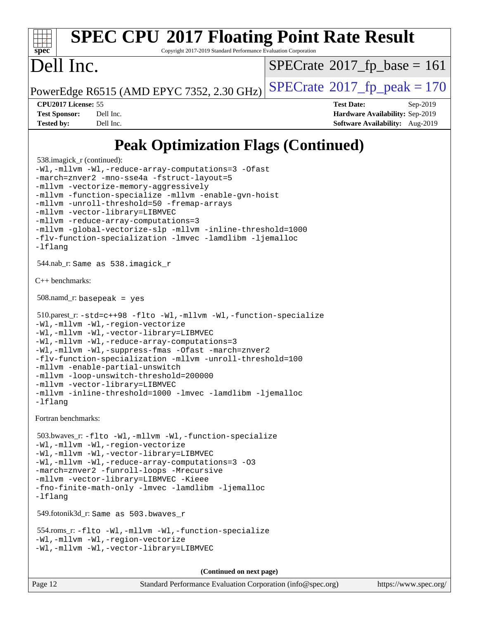#### **[spec](http://www.spec.org/) [SPEC CPU](http://www.spec.org/auto/cpu2017/Docs/result-fields.html#SPECCPU2017FloatingPointRateResult)[2017 Floating Point Rate Result](http://www.spec.org/auto/cpu2017/Docs/result-fields.html#SPECCPU2017FloatingPointRateResult)** Copyright 2017-2019 Standard Performance Evaluation Corporation Dell Inc. PowerEdge R6515 (AMD EPYC 7352, 2.30 GHz)  $\text{SPECrate}^{\circ}2017$  $\text{SPECrate}^{\circ}2017$  $\text{SPECrate}^{\circ}2017$  fp peak = 170  $SPECrate$ <sup>®</sup>[2017\\_fp\\_base =](http://www.spec.org/auto/cpu2017/Docs/result-fields.html#SPECrate2017fpbase) 161 **[CPU2017 License:](http://www.spec.org/auto/cpu2017/Docs/result-fields.html#CPU2017License)** 55 **[Test Date:](http://www.spec.org/auto/cpu2017/Docs/result-fields.html#TestDate)** Sep-2019 **[Test Sponsor:](http://www.spec.org/auto/cpu2017/Docs/result-fields.html#TestSponsor)** Dell Inc. **[Hardware Availability:](http://www.spec.org/auto/cpu2017/Docs/result-fields.html#HardwareAvailability)** Sep-2019 **[Tested by:](http://www.spec.org/auto/cpu2017/Docs/result-fields.html#Testedby)** Dell Inc. **[Software Availability:](http://www.spec.org/auto/cpu2017/Docs/result-fields.html#SoftwareAvailability)** Aug-2019

### **[Peak Optimization Flags \(Continued\)](http://www.spec.org/auto/cpu2017/Docs/result-fields.html#PeakOptimizationFlags)**

```
 538.imagick_r (continued):
-Wl,-mllvm -Wl,-reduce-array-computations=3 -Ofast
-march=znver2 -mno-sse4a -fstruct-layout=5
-mllvm -vectorize-memory-aggressively
-mllvm -function-specialize -mllvm -enable-gvn-hoist
-mllvm -unroll-threshold=50 -fremap-arrays
-mllvm -vector-library=LIBMVEC
-mllvm -reduce-array-computations=3
-mllvm -global-vectorize-slp -mllvm -inline-threshold=1000
-flv-function-specialization -lmvec -lamdlibm -ljemalloc
-lflang
 544.nab_r: Same as 538.imagick_r
C++ benchmarks: 
 508.namd_r: basepeak = yes
 510.parest_r: -std=c++98 -flto -Wl,-mllvm -Wl,-function-specialize
-Wl,-mllvm -Wl,-region-vectorize
-Wl,-mllvm -Wl,-vector-library=LIBMVEC
-Wl,-mllvm -Wl,-reduce-array-computations=3
-Wl,-mllvm -Wl,-suppress-fmas -Ofast -march=znver2
-flv-function-specialization -mllvm -unroll-threshold=100
-mllvm -enable-partial-unswitch
-mllvm -loop-unswitch-threshold=200000
-mllvm -vector-library=LIBMVEC
-mllvm -inline-threshold=1000 -lmvec -lamdlibm -ljemalloc
-lflang
Fortran benchmarks: 
 503.bwaves_r: -flto -Wl,-mllvm -Wl,-function-specialize
-Wl,-mllvm -Wl,-region-vectorize
-Wl,-mllvm -Wl,-vector-library=LIBMVEC
-Wl,-mllvm -Wl,-reduce-array-computations=3 -O3
-march=znver2 -funroll-loops -Mrecursive
-mllvm -vector-library=LIBMVEC -Kieee
-fno-finite-math-only -lmvec -lamdlibm -ljemalloc
-lflang
 549.fotonik3d_r: Same as 503.bwaves_r
 554.roms_r: -flto -Wl,-mllvm -Wl,-function-specialize
-Wl,-mllvm -Wl,-region-vectorize
-Wl,-mllvm -Wl,-vector-library=LIBMVEC
                                     (Continued on next page)
```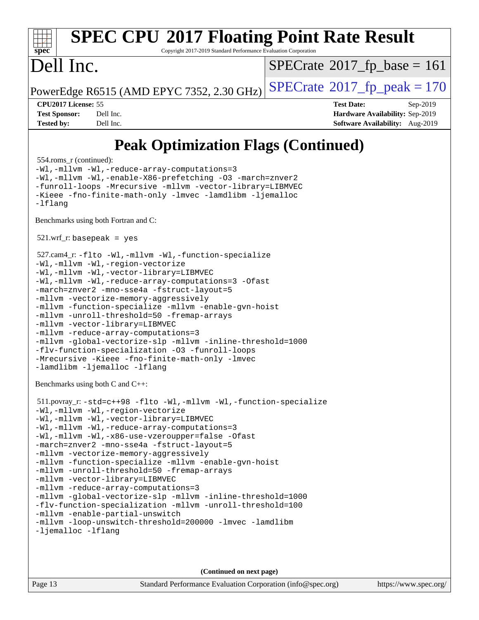#### **[spec](http://www.spec.org/) [SPEC CPU](http://www.spec.org/auto/cpu2017/Docs/result-fields.html#SPECCPU2017FloatingPointRateResult)[2017 Floating Point Rate Result](http://www.spec.org/auto/cpu2017/Docs/result-fields.html#SPECCPU2017FloatingPointRateResult)** Copyright 2017-2019 Standard Performance Evaluation Corporation Dell Inc. PowerEdge R6515 (AMD EPYC 7352, 2.30 GHz)  $\text{SPECrate}^{\circ}2017$  $\text{SPECrate}^{\circ}2017$  $\text{SPECrate}^{\circ}2017$  fp peak = 170  $SPECTate@2017_fp\_base = 161$ **[CPU2017 License:](http://www.spec.org/auto/cpu2017/Docs/result-fields.html#CPU2017License)** 55 **[Test Date:](http://www.spec.org/auto/cpu2017/Docs/result-fields.html#TestDate)** Sep-2019 **[Test Sponsor:](http://www.spec.org/auto/cpu2017/Docs/result-fields.html#TestSponsor)** Dell Inc. **[Hardware Availability:](http://www.spec.org/auto/cpu2017/Docs/result-fields.html#HardwareAvailability)** Sep-2019 **[Tested by:](http://www.spec.org/auto/cpu2017/Docs/result-fields.html#Testedby)** Dell Inc. **[Software Availability:](http://www.spec.org/auto/cpu2017/Docs/result-fields.html#SoftwareAvailability)** Aug-2019 **[Peak Optimization Flags \(Continued\)](http://www.spec.org/auto/cpu2017/Docs/result-fields.html#PeakOptimizationFlags)** 554.roms\_r (continued): [-Wl,-mllvm -Wl,-reduce-array-computations=3](http://www.spec.org/cpu2017/results/res2019q3/cpu2017-20190902-17384.flags.html#user_peakLDFLAGS554_roms_r_F-reduce-array-computations_b882aefe7a5dda4e33149f6299762b9a720dace3e498e13756f4c04e5a19edf5315c1f3993de2e61ec41e8c206231f84e05da7040e1bb5d69ba27d10a12507e4) [-Wl,-mllvm -Wl,-enable-X86-prefetching](http://www.spec.org/cpu2017/results/res2019q3/cpu2017-20190902-17384.flags.html#user_peakLDFFLAGS554_roms_r_F-enable-X86-prefetching_362de7b2f7f327d498ff3502bcaa6d8937de40fbbc59a600e539433e6b2cb9ea5e30d4a00c3465ce74a160670b5fcaffd57d10fdc90b0d7ee2c6f387a6bf1aee) [-O3](http://www.spec.org/cpu2017/results/res2019q3/cpu2017-20190902-17384.flags.html#user_peakFOPTIMIZE554_roms_r_F-O3) [-march=znver2](http://www.spec.org/cpu2017/results/res2019q3/cpu2017-20190902-17384.flags.html#user_peakFOPTIMIZE554_roms_r_aocc-march_3e2e19cff2eeef60c5d90b059483627c9ea47eca6d66670dbd53f9185f6439e27eb5e104cf773e9e8ab18c8842ce63e461a3e948d0214bd567ef3ade411bf467) [-funroll-loops](http://www.spec.org/cpu2017/results/res2019q3/cpu2017-20190902-17384.flags.html#user_peakFOPTIMIZE554_roms_r_aocc-unroll-loops) [-Mrecursive](http://www.spec.org/cpu2017/results/res2019q3/cpu2017-20190902-17384.flags.html#user_peakFOPTIMIZE554_roms_r_F-mrecursive_20a145d63f12d5750a899e17d4450b5b8b40330a9bb4af13688ca650e6fb30857bbbe44fb35cdbb895df6e5b2769de0a0d7659f51ff17acfbef6febafec4023f) [-mllvm -vector-library=LIBMVEC](http://www.spec.org/cpu2017/results/res2019q3/cpu2017-20190902-17384.flags.html#user_peakFOPTIMIZE554_roms_r_F-use-vector-library_e584e20b4f7ec96aa109254b65d8e01d864f3d68580371b9d93ed7c338191d4cfce20c3c864632264effc6bbe4c7c38153d02096a342ee92501c4a53204a7871) [-Kieee](http://www.spec.org/cpu2017/results/res2019q3/cpu2017-20190902-17384.flags.html#user_peakEXTRA_FFLAGS554_roms_r_F-kieee) [-fno-finite-math-only](http://www.spec.org/cpu2017/results/res2019q3/cpu2017-20190902-17384.flags.html#user_peakEXTRA_FFLAGS554_roms_r_aocc-fno-finite-math-only) [-lmvec](http://www.spec.org/cpu2017/results/res2019q3/cpu2017-20190902-17384.flags.html#user_peakEXTRA_FLIBSEXTRA_LIBS554_roms_r_F-lmvec) [-lamdlibm](http://www.spec.org/cpu2017/results/res2019q3/cpu2017-20190902-17384.flags.html#user_peakEXTRA_FLIBSEXTRA_LIBS554_roms_r_F-lamdlibm) [-ljemalloc](http://www.spec.org/cpu2017/results/res2019q3/cpu2017-20190902-17384.flags.html#user_peakEXTRA_LIBS554_roms_r_jemalloc-lib) [-lflang](http://www.spec.org/cpu2017/results/res2019q3/cpu2017-20190902-17384.flags.html#user_peakEXTRA_LIBS554_roms_r_F-lflang) [Benchmarks using both Fortran and C](http://www.spec.org/auto/cpu2017/Docs/result-fields.html#BenchmarksusingbothFortranandC):  $521.wrf$ . basepeak = yes 527.cam4\_r: [-flto](http://www.spec.org/cpu2017/results/res2019q3/cpu2017-20190902-17384.flags.html#user_peakCOPTIMIZEFOPTIMIZELDFLAGS527_cam4_r_aocc-flto) [-Wl,-mllvm -Wl,-function-specialize](http://www.spec.org/cpu2017/results/res2019q3/cpu2017-20190902-17384.flags.html#user_peakLDFLAGS527_cam4_r_F-function-specialize_7e7e661e57922243ee67c9a1251cb8910e607325179a0ce7f2884e09a6f5d4a5ef0ae4f37e8a2a11c95fc48e931f06dc2b6016f14b511fcb441e048bef1b065a) [-Wl,-mllvm -Wl,-region-vectorize](http://www.spec.org/cpu2017/results/res2019q3/cpu2017-20190902-17384.flags.html#user_peakLDFLAGS527_cam4_r_F-region-vectorize_fb6c6b5aa293c88efc6c7c2b52b20755e943585b1fe8658c35afef78727fff56e1a56891413c30e36b8e2a6f9a71126986319243e80eb6110b78b288f533c52b) [-Wl,-mllvm -Wl,-vector-library=LIBMVEC](http://www.spec.org/cpu2017/results/res2019q3/cpu2017-20190902-17384.flags.html#user_peakLDFLAGS527_cam4_r_F-use-vector-library_0a14b27fae317f283640384a31f7bfcc2bd4c1d0b5cfc618a3a430800c9b20217b00f61303eff223a3251b4f06ffbc9739dc5296db9d1fbb9ad24a3939d86d66) [-Wl,-mllvm -Wl,-reduce-array-computations=3](http://www.spec.org/cpu2017/results/res2019q3/cpu2017-20190902-17384.flags.html#user_peakLDFLAGS527_cam4_r_F-reduce-array-computations_b882aefe7a5dda4e33149f6299762b9a720dace3e498e13756f4c04e5a19edf5315c1f3993de2e61ec41e8c206231f84e05da7040e1bb5d69ba27d10a12507e4) [-Ofast](http://www.spec.org/cpu2017/results/res2019q3/cpu2017-20190902-17384.flags.html#user_peakCOPTIMIZE527_cam4_r_aocc-Ofast) [-march=znver2](http://www.spec.org/cpu2017/results/res2019q3/cpu2017-20190902-17384.flags.html#user_peakCOPTIMIZEFOPTIMIZE527_cam4_r_aocc-march_3e2e19cff2eeef60c5d90b059483627c9ea47eca6d66670dbd53f9185f6439e27eb5e104cf773e9e8ab18c8842ce63e461a3e948d0214bd567ef3ade411bf467) [-mno-sse4a](http://www.spec.org/cpu2017/results/res2019q3/cpu2017-20190902-17384.flags.html#user_peakCOPTIMIZE527_cam4_r_F-mno-sse4a) [-fstruct-layout=5](http://www.spec.org/cpu2017/results/res2019q3/cpu2017-20190902-17384.flags.html#user_peakCOPTIMIZE527_cam4_r_F-struct-layout_0de9d3561e9f54a54e0843cce081bd13a08ab3e9a82696f3346606c2e11360c37113781019b02fa128d9f650e68f1ffd209bab5c3a026c1ad23e4e7f60646b23) [-mllvm -vectorize-memory-aggressively](http://www.spec.org/cpu2017/results/res2019q3/cpu2017-20190902-17384.flags.html#user_peakCOPTIMIZE527_cam4_r_F-vectorize-memory-aggressively_24b72a4417f50ade9e698c5b3bed87ab456cc6fc8ec6439480cb84f36ad6a3975af6e87206dea402e3871a1464ff3d60bc798e0250f330177ba629a260df1857) [-mllvm -function-specialize](http://www.spec.org/cpu2017/results/res2019q3/cpu2017-20190902-17384.flags.html#user_peakCOPTIMIZE527_cam4_r_F-function-specialize_233b3bdba86027f1b094368157e481c5bc59f40286dc25bfadc1858dcd5745c24fd30d5f188710db7fea399bcc9f44a80b3ce3aacc70a8870250c3ae5e1f35b8) [-mllvm -enable-gvn-hoist](http://www.spec.org/cpu2017/results/res2019q3/cpu2017-20190902-17384.flags.html#user_peakCOPTIMIZE527_cam4_r_F-enable-gvn-hoist_e5856354646dd6ca1333a0ad99b817e4cf8932b91b82809fd8fd47ceff7b22a89eba5c98fd3e3fa5200368fd772cec3dd56abc3c8f7b655a71b9f9848dddedd5) [-mllvm -unroll-threshold=50](http://www.spec.org/cpu2017/results/res2019q3/cpu2017-20190902-17384.flags.html#user_peakCOPTIMIZE527_cam4_r_F-unroll-threshold_458874500b2c105d6d5cb4d7a611c40e2b16e9e3d26b355fea72d644c3673b4de4b3932662f0ed3dbec75c491a13da2d2ca81180bd779dc531083ef1e1e549dc) [-fremap-arrays](http://www.spec.org/cpu2017/results/res2019q3/cpu2017-20190902-17384.flags.html#user_peakCOPTIMIZE527_cam4_r_F-fremap-arrays) [-mllvm -vector-library=LIBMVEC](http://www.spec.org/cpu2017/results/res2019q3/cpu2017-20190902-17384.flags.html#user_peakCOPTIMIZEFOPTIMIZE527_cam4_r_F-use-vector-library_e584e20b4f7ec96aa109254b65d8e01d864f3d68580371b9d93ed7c338191d4cfce20c3c864632264effc6bbe4c7c38153d02096a342ee92501c4a53204a7871) [-mllvm -reduce-array-computations=3](http://www.spec.org/cpu2017/results/res2019q3/cpu2017-20190902-17384.flags.html#user_peakCOPTIMIZE527_cam4_r_F-reduce-array-computations_aceadb8604558b566e0e3a0d7a3c1533923dd1fa0889614e16288028922629a28d5695c24d3b3be4306b1e311c54317dfffe3a2e57fbcaabc737a1798de39145) [-mllvm -global-vectorize-slp](http://www.spec.org/cpu2017/results/res2019q3/cpu2017-20190902-17384.flags.html#user_peakCOPTIMIZE527_cam4_r_F-global-vectorize-slp_a3935e8627af4ced727033b1ffd4db27f4d541a363d28d82bf4c2925fb3a0fd4115d6e42d13a2829f9e024d6608eb67a85cb49770f2da5c5ac8dbc737afad603) [-mllvm -inline-threshold=1000](http://www.spec.org/cpu2017/results/res2019q3/cpu2017-20190902-17384.flags.html#user_peakCOPTIMIZE527_cam4_r_dragonegg-llvm-inline-threshold_b7832241b0a6397e4ecdbaf0eb7defdc10f885c2a282fa3240fdc99844d543fda39cf8a4a9dccf68cf19b5438ac3b455264f478df15da0f4988afa40d8243bab) [-flv-function-specialization](http://www.spec.org/cpu2017/results/res2019q3/cpu2017-20190902-17384.flags.html#user_peakCOPTIMIZE527_cam4_r_F-flv-function-specialization) [-O3](http://www.spec.org/cpu2017/results/res2019q3/cpu2017-20190902-17384.flags.html#user_peakFOPTIMIZE527_cam4_r_F-O3) [-funroll-loops](http://www.spec.org/cpu2017/results/res2019q3/cpu2017-20190902-17384.flags.html#user_peakFOPTIMIZE527_cam4_r_aocc-unroll-loops) [-Mrecursive](http://www.spec.org/cpu2017/results/res2019q3/cpu2017-20190902-17384.flags.html#user_peakFOPTIMIZE527_cam4_r_F-mrecursive_20a145d63f12d5750a899e17d4450b5b8b40330a9bb4af13688ca650e6fb30857bbbe44fb35cdbb895df6e5b2769de0a0d7659f51ff17acfbef6febafec4023f) [-Kieee](http://www.spec.org/cpu2017/results/res2019q3/cpu2017-20190902-17384.flags.html#user_peakEXTRA_FFLAGS527_cam4_r_F-kieee) [-fno-finite-math-only](http://www.spec.org/cpu2017/results/res2019q3/cpu2017-20190902-17384.flags.html#user_peakEXTRA_FFLAGS527_cam4_r_aocc-fno-finite-math-only) [-lmvec](http://www.spec.org/cpu2017/results/res2019q3/cpu2017-20190902-17384.flags.html#user_peakEXTRA_FLIBSEXTRA_LIBS527_cam4_r_F-lmvec) [-lamdlibm](http://www.spec.org/cpu2017/results/res2019q3/cpu2017-20190902-17384.flags.html#user_peakEXTRA_FLIBSEXTRA_LIBS527_cam4_r_F-lamdlibm) [-ljemalloc](http://www.spec.org/cpu2017/results/res2019q3/cpu2017-20190902-17384.flags.html#user_peakEXTRA_LIBS527_cam4_r_jemalloc-lib) [-lflang](http://www.spec.org/cpu2017/results/res2019q3/cpu2017-20190902-17384.flags.html#user_peakEXTRA_LIBS527_cam4_r_F-lflang) [Benchmarks using both C and C++](http://www.spec.org/auto/cpu2017/Docs/result-fields.html#BenchmarksusingbothCandCXX): 511.povray\_r: [-std=c++98](http://www.spec.org/cpu2017/results/res2019q3/cpu2017-20190902-17384.flags.html#user_peakCXXLD511_povray_r_std-cpp) [-flto](http://www.spec.org/cpu2017/results/res2019q3/cpu2017-20190902-17384.flags.html#user_peakCOPTIMIZECXXOPTIMIZELDFLAGS511_povray_r_aocc-flto) [-Wl,-mllvm -Wl,-function-specialize](http://www.spec.org/cpu2017/results/res2019q3/cpu2017-20190902-17384.flags.html#user_peakLDFLAGS511_povray_r_F-function-specialize_7e7e661e57922243ee67c9a1251cb8910e607325179a0ce7f2884e09a6f5d4a5ef0ae4f37e8a2a11c95fc48e931f06dc2b6016f14b511fcb441e048bef1b065a) [-Wl,-mllvm -Wl,-region-vectorize](http://www.spec.org/cpu2017/results/res2019q3/cpu2017-20190902-17384.flags.html#user_peakLDFLAGS511_povray_r_F-region-vectorize_fb6c6b5aa293c88efc6c7c2b52b20755e943585b1fe8658c35afef78727fff56e1a56891413c30e36b8e2a6f9a71126986319243e80eb6110b78b288f533c52b) [-Wl,-mllvm -Wl,-vector-library=LIBMVEC](http://www.spec.org/cpu2017/results/res2019q3/cpu2017-20190902-17384.flags.html#user_peakLDFLAGS511_povray_r_F-use-vector-library_0a14b27fae317f283640384a31f7bfcc2bd4c1d0b5cfc618a3a430800c9b20217b00f61303eff223a3251b4f06ffbc9739dc5296db9d1fbb9ad24a3939d86d66) [-Wl,-mllvm -Wl,-reduce-array-computations=3](http://www.spec.org/cpu2017/results/res2019q3/cpu2017-20190902-17384.flags.html#user_peakLDFLAGS511_povray_r_F-reduce-array-computations_b882aefe7a5dda4e33149f6299762b9a720dace3e498e13756f4c04e5a19edf5315c1f3993de2e61ec41e8c206231f84e05da7040e1bb5d69ba27d10a12507e4)

[-Wl,-mllvm -Wl,-x86-use-vzeroupper=false](http://www.spec.org/cpu2017/results/res2019q3/cpu2017-20190902-17384.flags.html#user_peakLDCXXFLAGS511_povray_r_F-no-vzeroupper_f792211b0552b0142c11cf651c85f88d7eca3e3e6d4ab29ab8b0b7be9c7d83df7aebb846b5dded1424ec84d39acb59d058815f97bc3ae9de4ba00ee4e2945c83) [-Ofast](http://www.spec.org/cpu2017/results/res2019q3/cpu2017-20190902-17384.flags.html#user_peakCOPTIMIZECXXOPTIMIZE511_povray_r_aocc-Ofast) [-march=znver2](http://www.spec.org/cpu2017/results/res2019q3/cpu2017-20190902-17384.flags.html#user_peakCOPTIMIZECXXOPTIMIZE511_povray_r_aocc-march_3e2e19cff2eeef60c5d90b059483627c9ea47eca6d66670dbd53f9185f6439e27eb5e104cf773e9e8ab18c8842ce63e461a3e948d0214bd567ef3ade411bf467) [-mno-sse4a](http://www.spec.org/cpu2017/results/res2019q3/cpu2017-20190902-17384.flags.html#user_peakCOPTIMIZE511_povray_r_F-mno-sse4a) [-fstruct-layout=5](http://www.spec.org/cpu2017/results/res2019q3/cpu2017-20190902-17384.flags.html#user_peakCOPTIMIZE511_povray_r_F-struct-layout_0de9d3561e9f54a54e0843cce081bd13a08ab3e9a82696f3346606c2e11360c37113781019b02fa128d9f650e68f1ffd209bab5c3a026c1ad23e4e7f60646b23) [-mllvm -vectorize-memory-aggressively](http://www.spec.org/cpu2017/results/res2019q3/cpu2017-20190902-17384.flags.html#user_peakCOPTIMIZE511_povray_r_F-vectorize-memory-aggressively_24b72a4417f50ade9e698c5b3bed87ab456cc6fc8ec6439480cb84f36ad6a3975af6e87206dea402e3871a1464ff3d60bc798e0250f330177ba629a260df1857) [-mllvm -function-specialize](http://www.spec.org/cpu2017/results/res2019q3/cpu2017-20190902-17384.flags.html#user_peakCOPTIMIZE511_povray_r_F-function-specialize_233b3bdba86027f1b094368157e481c5bc59f40286dc25bfadc1858dcd5745c24fd30d5f188710db7fea399bcc9f44a80b3ce3aacc70a8870250c3ae5e1f35b8) [-mllvm -enable-gvn-hoist](http://www.spec.org/cpu2017/results/res2019q3/cpu2017-20190902-17384.flags.html#user_peakCOPTIMIZE511_povray_r_F-enable-gvn-hoist_e5856354646dd6ca1333a0ad99b817e4cf8932b91b82809fd8fd47ceff7b22a89eba5c98fd3e3fa5200368fd772cec3dd56abc3c8f7b655a71b9f9848dddedd5) [-mllvm -unroll-threshold=50](http://www.spec.org/cpu2017/results/res2019q3/cpu2017-20190902-17384.flags.html#user_peakCOPTIMIZE511_povray_r_F-unroll-threshold_458874500b2c105d6d5cb4d7a611c40e2b16e9e3d26b355fea72d644c3673b4de4b3932662f0ed3dbec75c491a13da2d2ca81180bd779dc531083ef1e1e549dc) [-fremap-arrays](http://www.spec.org/cpu2017/results/res2019q3/cpu2017-20190902-17384.flags.html#user_peakCOPTIMIZE511_povray_r_F-fremap-arrays) [-mllvm -vector-library=LIBMVEC](http://www.spec.org/cpu2017/results/res2019q3/cpu2017-20190902-17384.flags.html#user_peakCOPTIMIZECXXOPTIMIZE511_povray_r_F-use-vector-library_e584e20b4f7ec96aa109254b65d8e01d864f3d68580371b9d93ed7c338191d4cfce20c3c864632264effc6bbe4c7c38153d02096a342ee92501c4a53204a7871) [-mllvm -reduce-array-computations=3](http://www.spec.org/cpu2017/results/res2019q3/cpu2017-20190902-17384.flags.html#user_peakCOPTIMIZE511_povray_r_F-reduce-array-computations_aceadb8604558b566e0e3a0d7a3c1533923dd1fa0889614e16288028922629a28d5695c24d3b3be4306b1e311c54317dfffe3a2e57fbcaabc737a1798de39145) [-mllvm -global-vectorize-slp](http://www.spec.org/cpu2017/results/res2019q3/cpu2017-20190902-17384.flags.html#user_peakCOPTIMIZE511_povray_r_F-global-vectorize-slp_a3935e8627af4ced727033b1ffd4db27f4d541a363d28d82bf4c2925fb3a0fd4115d6e42d13a2829f9e024d6608eb67a85cb49770f2da5c5ac8dbc737afad603) [-mllvm -inline-threshold=1000](http://www.spec.org/cpu2017/results/res2019q3/cpu2017-20190902-17384.flags.html#user_peakCOPTIMIZECXXOPTIMIZE511_povray_r_dragonegg-llvm-inline-threshold_b7832241b0a6397e4ecdbaf0eb7defdc10f885c2a282fa3240fdc99844d543fda39cf8a4a9dccf68cf19b5438ac3b455264f478df15da0f4988afa40d8243bab) [-flv-function-specialization](http://www.spec.org/cpu2017/results/res2019q3/cpu2017-20190902-17384.flags.html#user_peakCOPTIMIZECXXOPTIMIZE511_povray_r_F-flv-function-specialization) [-mllvm -unroll-threshold=100](http://www.spec.org/cpu2017/results/res2019q3/cpu2017-20190902-17384.flags.html#user_peakCXXOPTIMIZE511_povray_r_F-unroll-threshold_2755d0c78138845d361fa1543e3a063fffa198df9b3edf0cfb856bbc88a81e1769b12ac7a550c5d35197be55360db1a3f95a8d1304df999456cabf5120c45168) [-mllvm -enable-partial-unswitch](http://www.spec.org/cpu2017/results/res2019q3/cpu2017-20190902-17384.flags.html#user_peakCXXOPTIMIZE511_povray_r_F-enable-partial-unswitch_6e1c33f981d77963b1eaf834973128a7f33ce3f8e27f54689656697a35e89dcc875281e0e6283d043e32f367dcb605ba0e307a92e830f7e326789fa6c61b35d3) [-mllvm -loop-unswitch-threshold=200000](http://www.spec.org/cpu2017/results/res2019q3/cpu2017-20190902-17384.flags.html#user_peakCXXOPTIMIZE511_povray_r_F-loop-unswitch-threshold_f9a82ae3270e55b5fbf79d0d96ee93606b73edbbe527d20b18b7bff1a3a146ad50cfc7454c5297978340ae9213029016a7d16221274d672d3f7f42ed25274e1d) [-lmvec](http://www.spec.org/cpu2017/results/res2019q3/cpu2017-20190902-17384.flags.html#user_peakEXTRA_LIBS511_povray_r_F-lmvec) [-lamdlibm](http://www.spec.org/cpu2017/results/res2019q3/cpu2017-20190902-17384.flags.html#user_peakEXTRA_LIBS511_povray_r_F-lamdlibm) [-ljemalloc](http://www.spec.org/cpu2017/results/res2019q3/cpu2017-20190902-17384.flags.html#user_peakEXTRA_LIBS511_povray_r_jemalloc-lib) [-lflang](http://www.spec.org/cpu2017/results/res2019q3/cpu2017-20190902-17384.flags.html#user_peakEXTRA_LIBS511_povray_r_F-lflang)